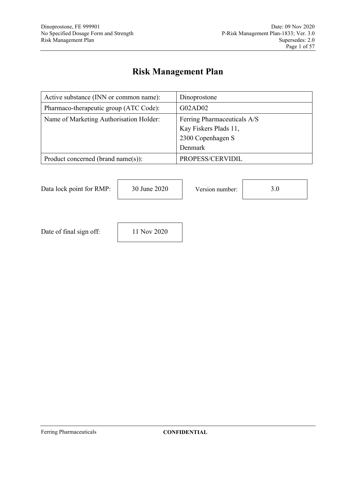# **Risk Management Plan**

| Active substance (INN or common name):  | Dinoprostone                |
|-----------------------------------------|-----------------------------|
| Pharmaco-therapeutic group (ATC Code):  | G02AD02                     |
| Name of Marketing Authorisation Holder: | Ferring Pharmaceuticals A/S |
|                                         | Kay Fiskers Plads 11,       |
|                                         | 2300 Copenhagen S           |
|                                         | Denmark                     |
| Product concerned (brand name(s)):      | PROPESS/CERVIDIL            |

Data lock point for RMP: 30 June 2020 Version number: 3.0



Date of final sign off: 11 Nov 2020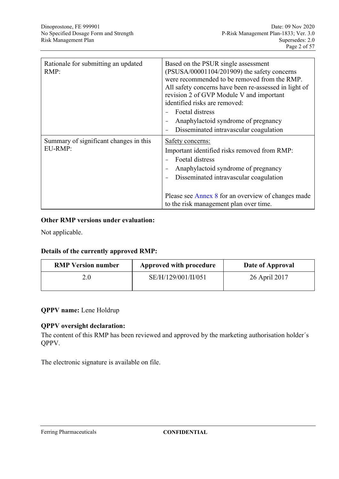| Rationale for submitting an updated<br>RMP:       | Based on the PSUR single assessment<br>(PSUSA/00001104/201909) the safety concerns<br>were recommended to be removed from the RMP.<br>All safety concerns have been re-assessed in light of<br>revision 2 of GVP Module V and important<br>identified risks are removed:<br>Foetal distress<br>Anaphylactoid syndrome of pregnancy<br>Disseminated intravascular coagulation |
|---------------------------------------------------|------------------------------------------------------------------------------------------------------------------------------------------------------------------------------------------------------------------------------------------------------------------------------------------------------------------------------------------------------------------------------|
| Summary of significant changes in this<br>EU-RMP: | Safety concerns:<br>Important identified risks removed from RMP:<br>Foetal distress<br>Anaphylactoid syndrome of pregnancy<br>Disseminated intravascular coagulation<br>Please see Annex 8 for an overview of changes made<br>to the risk management plan over time.                                                                                                         |

### **Other RMP versions under evaluation:**

Not applicable.

#### **Details of the currently approved RMP:**

| Approved with procedure | Date of Approval |
|-------------------------|------------------|
| SE/H/129/001/II/051     | 26 April 2017    |
|                         |                  |

### **QPPV name:** Lene Holdrup

#### **QPPV oversight declaration:**

The content of this RMP has been reviewed and approved by the marketing authorisation holder´s QPPV.

The electronic signature is available on file.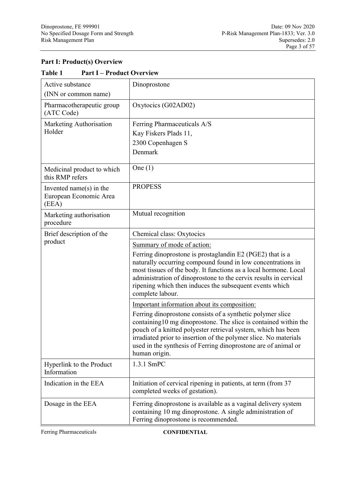### **Part I: Product(s) Overview**

| l avit 1<br>1 all 1 – I Touult Ovel view                      |                                                                                                                                                                                                                                                                                                                                                       |
|---------------------------------------------------------------|-------------------------------------------------------------------------------------------------------------------------------------------------------------------------------------------------------------------------------------------------------------------------------------------------------------------------------------------------------|
| Active substance                                              | Dinoprostone                                                                                                                                                                                                                                                                                                                                          |
| (INN or common name)                                          |                                                                                                                                                                                                                                                                                                                                                       |
| Pharmacotherapeutic group<br>(ATC Code)                       | Oxytocics (G02AD02)                                                                                                                                                                                                                                                                                                                                   |
| Marketing Authorisation                                       | Ferring Pharmaceuticals A/S                                                                                                                                                                                                                                                                                                                           |
| Holder                                                        | Kay Fiskers Plads 11,                                                                                                                                                                                                                                                                                                                                 |
|                                                               | 2300 Copenhagen S                                                                                                                                                                                                                                                                                                                                     |
|                                                               | Denmark                                                                                                                                                                                                                                                                                                                                               |
| Medicinal product to which<br>this RMP refers                 | One $(1)$                                                                                                                                                                                                                                                                                                                                             |
| Invented name $(s)$ in the<br>European Economic Area<br>(EEA) | <b>PROPESS</b>                                                                                                                                                                                                                                                                                                                                        |
| Marketing authorisation<br>procedure                          | Mutual recognition                                                                                                                                                                                                                                                                                                                                    |
| Brief description of the                                      | Chemical class: Oxytocics                                                                                                                                                                                                                                                                                                                             |
| product                                                       | Summary of mode of action:                                                                                                                                                                                                                                                                                                                            |
|                                                               | Ferring dinoprostone is prostaglandin E2 (PGE2) that is a<br>naturally occurring compound found in low concentrations in<br>most tissues of the body. It functions as a local hormone. Local<br>administration of dinoprostone to the cervix results in cervical<br>ripening which then induces the subsequent events which<br>complete labour.       |
|                                                               | Important information about its composition:                                                                                                                                                                                                                                                                                                          |
|                                                               | Ferring dinoprostone consists of a synthetic polymer slice<br>containing10 mg dinoprostone. The slice is contained within the<br>pouch of a knitted polyester retrieval system, which has been<br>irradiated prior to insertion of the polymer slice. No materials<br>used in the synthesis of Ferring dinoprostone are of animal or<br>human origin. |
| Hyperlink to the Product<br>Information                       | 1.3.1 SmPC                                                                                                                                                                                                                                                                                                                                            |
| Indication in the EEA                                         | Initiation of cervical ripening in patients, at term (from 37<br>completed weeks of gestation).                                                                                                                                                                                                                                                       |
| Dosage in the EEA                                             | Ferring dinoprostone is available as a vaginal delivery system<br>containing 10 mg dinoprostone. A single administration of<br>Ferring dinoprostone is recommended.                                                                                                                                                                                   |

#### **Table 1 Part I – Product Overview**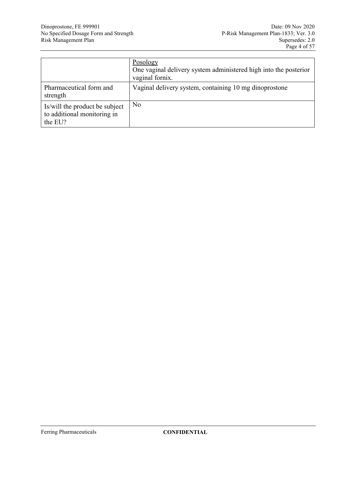|                                                                          | Posology<br>One vaginal delivery system administered high into the posterior<br>vaginal fornix. |
|--------------------------------------------------------------------------|-------------------------------------------------------------------------------------------------|
| Pharmaceutical form and<br>strength                                      | Vaginal delivery system, containing 10 mg dinoprostone                                          |
| Is/will the product be subject<br>to additional monitoring in<br>the EU? | N <sub>0</sub>                                                                                  |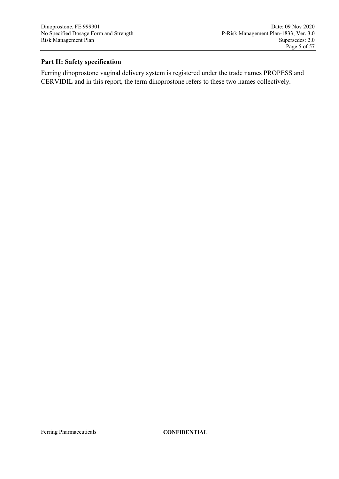# **Part II: Safety specification**

Ferring dinoprostone vaginal delivery system is registered under the trade names PROPESS and CERVIDIL and in this report, the term dinoprostone refers to these two names collectively.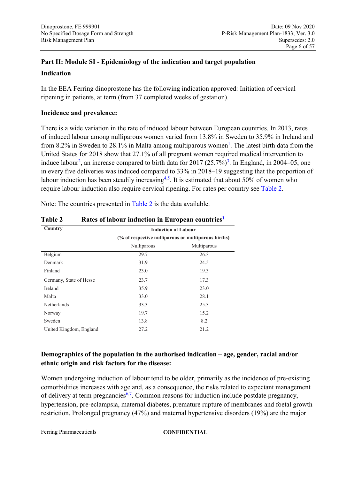# **Part II: Module SI - Epidemiology of the indication and target population Indication**

In the EEA Ferring dinoprostone has the following indication approved: Initiation of cervical ripening in patients, at term (from 37 completed weeks of gestation).

### **Incidence and prevalence:**

<span id="page-5-0"></span>There is a wide variation in the rate of induced labour between European countries. In 2013, rates of induced labour among nulliparous women varied from 13.8% in Sweden to 35.9% in Ireland and from 8.2% in Sweden to 28.[1](#page-52-0)% in Malta among multiparous women<sup>1</sup>. The latest birth data from the United States for 2018 show that 27.1% of all pregnant women required medical intervention to induce labour<sup>[2](#page-52-1)</sup>, an increase compared to birth data for 2017  $(25.7\%)^3$  $(25.7\%)^3$ . In England, in 2004–05, one in every five deliveries was induced compared to 33% in 2018–19 suggesting that the proportion of labour induction has been steadily increasing<sup>[4](#page-52-3)[,5](#page-52-4)</sup>. It is estimated that about 50% of women who require labour induction also require cervical ripening. For rates per country see [Table 2.](#page-5-1)

| Country                 | <b>Induction of Labour</b>                          |             |  |
|-------------------------|-----------------------------------------------------|-------------|--|
|                         | (% of respective nulliparous or multiparous births) |             |  |
|                         | Nulliparous                                         | Multiparous |  |
| Belgium                 | 29.7                                                | 26.3        |  |
| Denmark                 | 31.9                                                | 24.5        |  |
| Finland                 | 23.0                                                | 19.3        |  |
| Germany, State of Hesse | 23.7                                                | 17.3        |  |
| Ireland                 | 35.9                                                | 23.0        |  |
| Malta                   | 33.0                                                | 28.1        |  |
| <b>Netherlands</b>      | 33.3                                                | 25.3        |  |
| Norway                  | 19.7                                                | 15.2        |  |
| Sweden                  | 13.8                                                | 8.2         |  |
| United Kingdom, England | 27.2                                                | 21.2        |  |

Note: The countries presented in [Table 2](#page-5-1) is the data available.

<span id="page-5-1"></span>**Table 2 Rates of labour induction in European countries[1](#page-5-0)**

### **Demographics of the population in the authorised indication – age, gender, racial and/or ethnic origin and risk factors for the disease:**

Women undergoing induction of labour tend to be older, primarily as the incidence of pre-existing comorbidities increases with age and, as a consequence, the risks related to expectant management of delivery at term pregnancies<sup>[6](#page-52-5)[,7](#page-52-6)</sup>. Common reasons for induction include postdate pregnancy, hypertension, pre-eclampsia, maternal diabetes, premature rupture of membranes and foetal growth restriction. Prolonged pregnancy (47%) and maternal hypertensive disorders (19%) are the major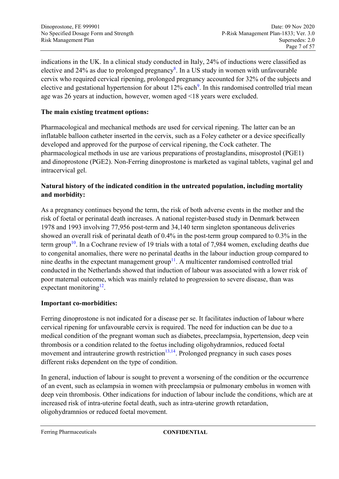indications in the UK. In a clinical study conducted in Italy, 24% of inductions were classified as elective and 24% as due to prolonged pregnancy<sup>[8](#page-52-7)</sup>. In a US study in women with unfavourable cervix who required cervical ripening, prolonged pregnancy accounted for 32% of the subjects and elective and gestational hypertension for about 12% each<sup>[9](#page-52-8)</sup>. In this randomised controlled trial mean age was 26 years at induction, however, women aged <18 years were excluded.

### <span id="page-6-0"></span>**The main existing treatment options:**

Pharmacological and mechanical methods are used for cervical ripening. The latter can be an inflatable balloon catheter inserted in the cervix, such as a Foley catheter or a device specifically developed and approved for the purpose of cervical ripening, the Cock catheter. The pharmacological methods in use are various preparations of prostaglandins, misoprostol (PGE1) and dinoprostone (PGE2). Non-Ferring dinoprostone is marketed as vaginal tablets, vaginal gel and intracervical gel.

### **Natural history of the indicated condition in the untreated population, including mortality and morbidity:**

As a pregnancy continues beyond the term, the risk of both adverse events in the mother and the risk of foetal or perinatal death increases. A national register-based study in Denmark between 1978 and 1993 involving 77,956 post-term and 34,140 term singleton spontaneous deliveries showed an overall risk of perinatal death of 0.4% in the post-term group compared to 0.3% in the term group<sup>[10](#page-52-9)</sup>. In a Cochrane review of 19 trials with a total of 7,984 women, excluding deaths due to congenital anomalies, there were no perinatal deaths in the labour induction group compared to nine deaths in the expectant management group<sup>[11](#page-52-10)</sup>. A multicenter randomised controlled trial conducted in the Netherlands showed that induction of labour was associated with a lower risk of poor maternal outcome, which was mainly related to progression to severe disease, than was expectant monitoring $^{12}$  $^{12}$  $^{12}$ .

#### **Important co-morbidities:**

Ferring dinoprostone is not indicated for a disease per se. It facilitates induction of labour where cervical ripening for unfavourable cervix is required. The need for induction can be due to a medical condition of the pregnant woman such as diabetes, preeclampsia, hypertension, deep vein thrombosis or a condition related to the foetus including oligohydramnios, reduced foetal movement and intrauterine growth restriction $13,14$  $13,14$ . Prolonged pregnancy in such cases poses different risks dependent on the type of condition.

In general, induction of labour is sought to prevent a worsening of the condition or the occurrence of an event, such as eclampsia in women with preeclampsia or pulmonary embolus in women with deep vein thrombosis. Other indications for induction of labour include the conditions, which are at increased risk of intra-uterine foetal death, such as intra-uterine growth retardation, oligohydramnios or reduced foetal movement.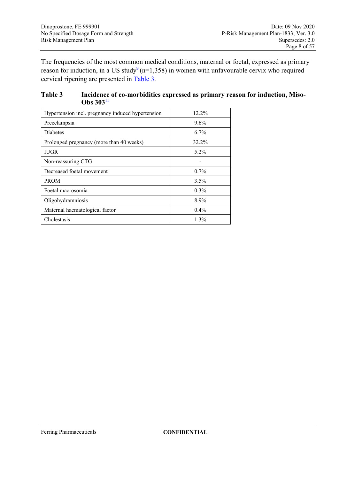The frequencies of the most common medical conditions, maternal or foetal, expressed as primary reason for induction, in a US stud[y](#page-6-0)<sup>9</sup> ( $n=1,358$ ) in women with unfavourable cervix who required cervical ripening are presented in [Table 3.](#page-7-0)

#### <span id="page-7-0"></span>**Table 3 Incidence of co-morbidities expressed as primary reason for induction, Miso-Obs 303**[15](#page-53-3)

| Hypertension incl. pregnancy induced hypertension | $12.2\%$ |
|---------------------------------------------------|----------|
| Preeclampsia                                      | $9.6\%$  |
| Diabetes                                          | $6.7\%$  |
| Prolonged pregnancy (more than 40 weeks)          | 32.2%    |
| <b>IUGR</b>                                       | $5.2\%$  |
| Non-reassuring CTG                                |          |
| Decreased foetal movement                         | $0.7\%$  |
| <b>PROM</b>                                       | 3.5%     |
| Foetal macrosomia                                 | $0.3\%$  |
| Oligohydramniosis                                 | 8.9%     |
| Maternal haematological factor                    | $0.4\%$  |
| Cholestasis                                       | 1.3%     |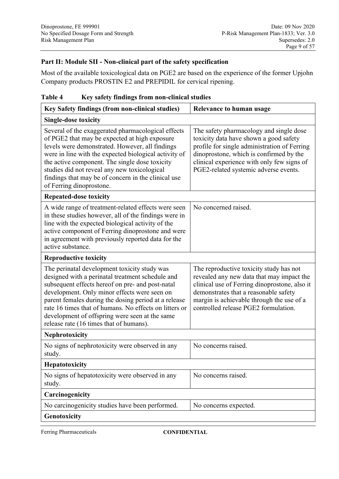### **Part II: Module SII - Non-clinical part of the safety specification**

Most of the available toxicological data on PGE2 are based on the experience of the former Upjohn Company products PROSTIN E2 and PREPIDIL for cervical ripening.

| Table 4 |                                               |  |
|---------|-----------------------------------------------|--|
|         | Key safety findings from non-clinical studies |  |

| Key Safety findings (from non-clinical studies)                                                                                                                                                                                                                                                                                                                                                                     | <b>Relevance to human usage</b>                                                                                                                                                                                                                                     |  |  |
|---------------------------------------------------------------------------------------------------------------------------------------------------------------------------------------------------------------------------------------------------------------------------------------------------------------------------------------------------------------------------------------------------------------------|---------------------------------------------------------------------------------------------------------------------------------------------------------------------------------------------------------------------------------------------------------------------|--|--|
| <b>Single-dose toxicity</b>                                                                                                                                                                                                                                                                                                                                                                                         |                                                                                                                                                                                                                                                                     |  |  |
| Several of the exaggerated pharmacological effects<br>of PGE2 that may be expected at high exposure<br>levels were demonstrated. However, all findings<br>were in line with the expected biological activity of<br>the active component. The single dose toxicity<br>studies did not reveal any new toxicological<br>findings that may be of concern in the clinical use<br>of Ferring dinoprostone.                | The safety pharmacology and single dose<br>toxicity data have shown a good safety<br>profile for single administration of Ferring<br>dinoprostone, which is confirmed by the<br>clinical experience with only few signs of<br>PGE2-related systemic adverse events. |  |  |
| <b>Repeated-dose toxicity</b>                                                                                                                                                                                                                                                                                                                                                                                       |                                                                                                                                                                                                                                                                     |  |  |
| A wide range of treatment-related effects were seen<br>in these studies however, all of the findings were in<br>line with the expected biological activity of the<br>active component of Ferring dinoprostone and were<br>in agreement with previously reported data for the<br>active substance.                                                                                                                   | No concerned raised.                                                                                                                                                                                                                                                |  |  |
| <b>Reproductive toxicity</b>                                                                                                                                                                                                                                                                                                                                                                                        |                                                                                                                                                                                                                                                                     |  |  |
| The perinatal development toxicity study was<br>designed with a perinatal treatment schedule and<br>subsequent effects hereof on pre- and post-natal<br>development. Only minor effects were seen on<br>parent females during the dosing period at a release<br>rate 16 times that of humans. No effects on litters or<br>development of offspring were seen at the same<br>release rate (16 times that of humans). | The reproductive toxicity study has not<br>revealed any new data that may impact the<br>clinical use of Ferring dinoprostone, also it<br>demonstrates that a reasonable safety<br>margin is achievable through the use of a<br>controlled release PGE2 formulation. |  |  |
| <b>Nephrotoxicity</b>                                                                                                                                                                                                                                                                                                                                                                                               |                                                                                                                                                                                                                                                                     |  |  |
| No signs of nephrotoxicity were observed in any<br>study.                                                                                                                                                                                                                                                                                                                                                           | No concerns raised.                                                                                                                                                                                                                                                 |  |  |
| Hepatotoxicity                                                                                                                                                                                                                                                                                                                                                                                                      |                                                                                                                                                                                                                                                                     |  |  |
| No signs of hepatotoxicity were observed in any<br>study.                                                                                                                                                                                                                                                                                                                                                           | No concerns raised.                                                                                                                                                                                                                                                 |  |  |
| Carcinogenicity                                                                                                                                                                                                                                                                                                                                                                                                     |                                                                                                                                                                                                                                                                     |  |  |
| No carcinogenicity studies have been performed.                                                                                                                                                                                                                                                                                                                                                                     | No concerns expected.                                                                                                                                                                                                                                               |  |  |
| Genotoxicity                                                                                                                                                                                                                                                                                                                                                                                                        |                                                                                                                                                                                                                                                                     |  |  |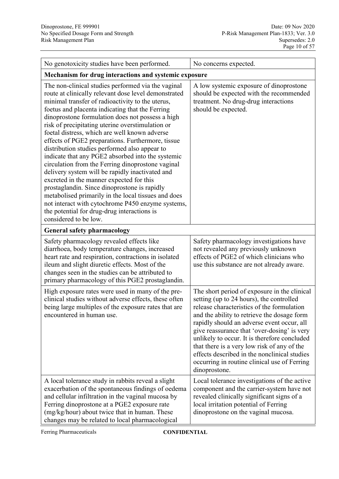| No genotoxicity studies have been performed.                                                                                                                                                                                                                                                                                                                                                                                                                                                                                                                                                                                                                                                                                                                                                                                                                                                                                  | No concerns expected.                                                                                                                                                                                                                                                                                                                                                                                                                                                                              |  |
|-------------------------------------------------------------------------------------------------------------------------------------------------------------------------------------------------------------------------------------------------------------------------------------------------------------------------------------------------------------------------------------------------------------------------------------------------------------------------------------------------------------------------------------------------------------------------------------------------------------------------------------------------------------------------------------------------------------------------------------------------------------------------------------------------------------------------------------------------------------------------------------------------------------------------------|----------------------------------------------------------------------------------------------------------------------------------------------------------------------------------------------------------------------------------------------------------------------------------------------------------------------------------------------------------------------------------------------------------------------------------------------------------------------------------------------------|--|
| Mechanism for drug interactions and systemic exposure                                                                                                                                                                                                                                                                                                                                                                                                                                                                                                                                                                                                                                                                                                                                                                                                                                                                         |                                                                                                                                                                                                                                                                                                                                                                                                                                                                                                    |  |
| The non-clinical studies performed via the vaginal<br>route at clinically relevant dose level demonstrated<br>minimal transfer of radioactivity to the uterus,<br>foetus and placenta indicating that the Ferring<br>dinoprostone formulation does not possess a high<br>risk of precipitating uterine overstimulation or<br>foetal distress, which are well known adverse<br>effects of PGE2 preparations. Furthermore, tissue<br>distribution studies performed also appear to<br>indicate that any PGE2 absorbed into the systemic<br>circulation from the Ferring dinoprostone vaginal<br>delivery system will be rapidly inactivated and<br>excreted in the manner expected for this<br>prostaglandin. Since dinoprostone is rapidly<br>metabolised primarily in the local tissues and does<br>not interact with cytochrome P450 enzyme systems,<br>the potential for drug-drug interactions is<br>considered to be low. | A low systemic exposure of dinoprostone<br>should be expected with the recommended<br>treatment. No drug-drug interactions<br>should be expected.                                                                                                                                                                                                                                                                                                                                                  |  |
| <b>General safety pharmacology</b>                                                                                                                                                                                                                                                                                                                                                                                                                                                                                                                                                                                                                                                                                                                                                                                                                                                                                            |                                                                                                                                                                                                                                                                                                                                                                                                                                                                                                    |  |
| Safety pharmacology revealed effects like<br>diarrhoea, body temperature changes, increased<br>heart rate and respiration, contractions in isolated<br>ileum and slight diuretic effects. Most of the<br>changes seen in the studies can be attributed to<br>primary pharmacology of this PGE2 prostaglandin.                                                                                                                                                                                                                                                                                                                                                                                                                                                                                                                                                                                                                 | Safety pharmacology investigations have<br>not revealed any previously unknown<br>effects of PGE2 of which clinicians who<br>use this substance are not already aware.                                                                                                                                                                                                                                                                                                                             |  |
| High exposure rates were used in many of the pre-<br>clinical studies without adverse effects, these often<br>being large multiples of the exposure rates that are<br>encountered in human use.                                                                                                                                                                                                                                                                                                                                                                                                                                                                                                                                                                                                                                                                                                                               | The short period of exposure in the clinical<br>setting (up to 24 hours), the controlled<br>release characteristics of the formulation<br>and the ability to retrieve the dosage form<br>rapidly should an adverse event occur, all<br>give reassurance that 'over-dosing' is very<br>unlikely to occur. It is therefore concluded<br>that there is a very low risk of any of the<br>effects described in the nonclinical studies<br>occurring in routine clinical use of Ferring<br>dinoprostone. |  |
| A local tolerance study in rabbits reveal a slight<br>exacerbation of the spontaneous findings of oedema<br>and cellular infiltration in the vaginal mucosa by<br>Ferring dinoprostone at a PGE2 exposure rate<br>(mg/kg/hour) about twice that in human. These<br>changes may be related to local pharmacological                                                                                                                                                                                                                                                                                                                                                                                                                                                                                                                                                                                                            | Local tolerance investigations of the active<br>component and the carrier-system have not<br>revealed clinically significant signs of a<br>local irritation potential of Ferring<br>dinoprostone on the vaginal mucosa.                                                                                                                                                                                                                                                                            |  |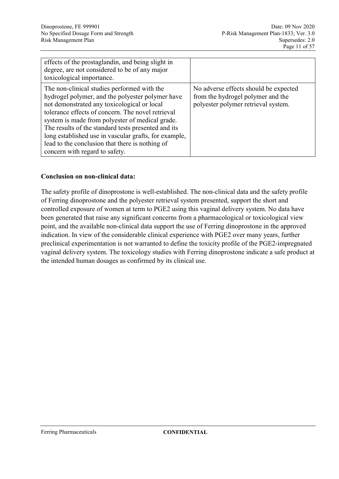| effects of the prostaglandin, and being slight in<br>degree, are not considered to be of any major<br>toxicological importance.                                                                                                                                                                                                                                                                                                                             |                                                                                                                   |
|-------------------------------------------------------------------------------------------------------------------------------------------------------------------------------------------------------------------------------------------------------------------------------------------------------------------------------------------------------------------------------------------------------------------------------------------------------------|-------------------------------------------------------------------------------------------------------------------|
| The non-clinical studies performed with the<br>hydrogel polymer, and the polyester polymer have<br>not demonstrated any toxicological or local<br>tolerance effects of concern. The novel retrieval<br>system is made from polyester of medical grade.<br>The results of the standard tests presented and its<br>long established use in vascular grafts, for example,<br>lead to the conclusion that there is nothing of<br>concern with regard to safety. | No adverse effects should be expected<br>from the hydrogel polymer and the<br>polyester polymer retrieval system. |

#### **Conclusion on non-clinical data:**

The safety profile of dinoprostone is well-established. The non-clinical data and the safety profile of Ferring dinoprostone and the polyester retrieval system presented, support the short and controlled exposure of women at term to PGE2 using this vaginal delivery system. No data have been generated that raise any significant concerns from a pharmacological or toxicological view point, and the available non-clinical data support the use of Ferring dinoprostone in the approved indication. In view of the considerable clinical experience with PGE2 over many years, further preclinical experimentation is not warranted to define the toxicity profile of the PGE2-impregnated vaginal delivery system. The toxicology studies with Ferring dinoprostone indicate a safe product at the intended human dosages as confirmed by its clinical use.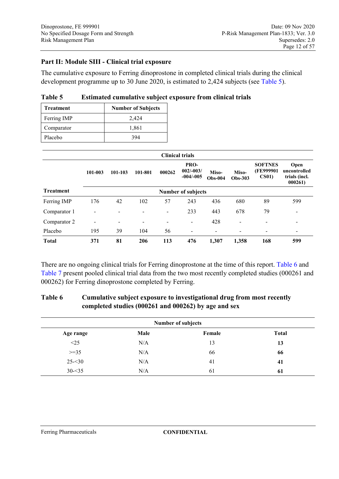### **Part II: Module SIII - Clinical trial exposure**

The cumulative exposure to Ferring dinoprostone in completed clinical trials during the clinical development programme up to 30 June 2020, is estimated to 2,424 subjects (see [Table 5\)](#page-11-1).

| <b>Treatment</b> | <b>Number of Subjects</b> |
|------------------|---------------------------|
| Ferring IMP      | 2,424                     |
| Comparator       | 1,861                     |
| Placebo          | 394                       |

<span id="page-11-1"></span>

| Table 5 |  |  |  |  | Estimated cumulative subject exposure from clinical trials |
|---------|--|--|--|--|------------------------------------------------------------|
|---------|--|--|--|--|------------------------------------------------------------|

|                  |                          |                |                          | <b>Clinical trials</b>   |                                    |                    |                          |                                                 |                                                 |
|------------------|--------------------------|----------------|--------------------------|--------------------------|------------------------------------|--------------------|--------------------------|-------------------------------------------------|-------------------------------------------------|
|                  | 101-003                  | 101-103        | 101-801                  | 000262                   | PRO-<br>$002/-003/$<br>$-004/-005$ | Miso-<br>$Obs-004$ | Miso-<br>Obs-303         | <b>SOFTNES</b><br>(FE999901<br>CS <sub>01</sub> | Open<br>uncontrolled<br>trials (incl.<br>000261 |
| <b>Treatment</b> |                          |                |                          |                          | <b>Number of subjects</b>          |                    |                          |                                                 |                                                 |
| Ferring IMP      | 176                      | 42             | 102                      | 57                       | 243                                | 436                | 680                      | 89                                              | 599                                             |
| Comparator 1     |                          | ۰              |                          | $\overline{\phantom{a}}$ | 233                                | 443                | 678                      | 79                                              | $\overline{\phantom{0}}$                        |
| Comparator 2     | $\overline{\phantom{a}}$ | $\blacksquare$ | $\overline{\phantom{0}}$ | $\overline{\phantom{0}}$ | $\blacksquare$                     | 428                | $\overline{\phantom{0}}$ | $\overline{\phantom{0}}$                        | $\overline{\phantom{0}}$                        |
| Placebo          | 195                      | 39             | 104                      | 56                       | -                                  | ۰.                 | $\overline{ }$           |                                                 |                                                 |
| <b>Total</b>     | 371                      | 81             | 206                      | 113                      | 476                                | 1.307              | 1,358                    | 168                                             | 599                                             |

There are no ongoing clinical trials for Ferring dinoprostone at the time of this report. [Table 6](#page-11-0) and [Table 7](#page-12-0) present pooled clinical trial data from the two most recently completed studies (000261 and 000262) for Ferring dinoprostone completed by Ferring.

### <span id="page-11-0"></span>**Table 6 Cumulative subject exposure to investigational drug from most recently completed studies (000261 and 000262) by age and sex**

| <b>Number of subjects</b> |      |        |              |
|---------------------------|------|--------|--------------|
| Age range                 | Male | Female | <b>Total</b> |
| <25                       | N/A  | 13     | 13           |
| $>=35$                    | N/A  | 66     | 66           |
| $25 - 30$                 | N/A  | 41     | 41           |
| $30 - 35$                 | N/A  | 61     | 61           |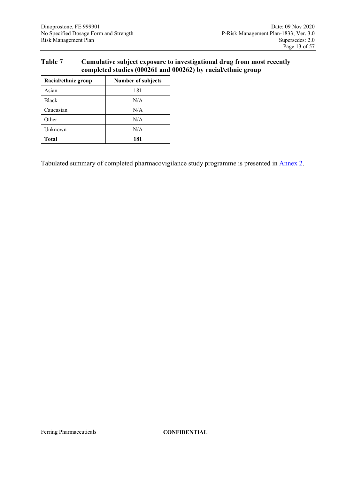### <span id="page-12-0"></span>**Table 7 Cumulative subject exposure to investigational drug from most recently completed studies (000261 and 000262) by racial/ethnic group**

| Racial/ethnic group | <b>Number of subjects</b> |
|---------------------|---------------------------|
| Asian               | 181                       |
| <b>Black</b>        | N/A                       |
| Caucasian           | N/A                       |
| Other               | N/A                       |
| Unknown             | N/A                       |
| <b>Total</b>        | 181                       |

Tabulated summary of completed pharmacovigilance study programme is presented in Annex 2.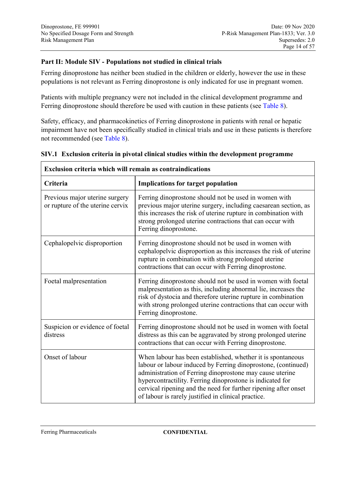### **Part II: Module SIV - Populations not studied in clinical trials**

Ferring dinoprostone has neither been studied in the children or elderly, however the use in these populations is not relevant as Ferring dinoprostone is only indicated for use in pregnant women.

Patients with multiple pregnancy were not included in the clinical development programme and Ferring dinoprostone should therefore be used with caution in these patients (see [Table 8\)](#page-15-0).

Safety, efficacy, and pharmacokinetics of Ferring dinoprostone in patients with renal or hepatic impairment have not been specifically studied in clinical trials and use in these patients is therefore not recommended (see [Table 8\)](#page-15-0).

| <b>Exclusion criteria which will remain as contraindications</b>   |                                                                                                                                                                                                                                                                                                                                                                                 |  |  |
|--------------------------------------------------------------------|---------------------------------------------------------------------------------------------------------------------------------------------------------------------------------------------------------------------------------------------------------------------------------------------------------------------------------------------------------------------------------|--|--|
| Criteria                                                           | <b>Implications for target population</b>                                                                                                                                                                                                                                                                                                                                       |  |  |
| Previous major uterine surgery<br>or rupture of the uterine cervix | Ferring dinoprostone should not be used in women with<br>previous major uterine surgery, including caesarean section, as<br>this increases the risk of uterine rupture in combination with<br>strong prolonged uterine contractions that can occur with<br>Ferring dinoprostone.                                                                                                |  |  |
| Cephalopelvic disproportion                                        | Ferring dinoprostone should not be used in women with<br>cephalopelvic disproportion as this increases the risk of uterine<br>rupture in combination with strong prolonged uterine<br>contractions that can occur with Ferring dinoprostone.                                                                                                                                    |  |  |
| Foetal malpresentation                                             | Ferring dinoprostone should not be used in women with foetal<br>malpresentation as this, including abnormal lie, increases the<br>risk of dystocia and therefore uterine rupture in combination<br>with strong prolonged uterine contractions that can occur with<br>Ferring dinoprostone.                                                                                      |  |  |
| Suspicion or evidence of foetal<br>distress                        | Ferring dinoprostone should not be used in women with foetal<br>distress as this can be aggravated by strong prolonged uterine<br>contractions that can occur with Ferring dinoprostone.                                                                                                                                                                                        |  |  |
| Onset of labour                                                    | When labour has been established, whether it is spontaneous<br>labour or labour induced by Ferring dinoprostone, (continued)<br>administration of Ferring dinoprostone may cause uterine<br>hypercontractility. Ferring dinoprostone is indicated for<br>cervical ripening and the need for further ripening after onset<br>of labour is rarely justified in clinical practice. |  |  |

#### **SIV.1 Exclusion criteria in pivotal clinical studies within the development programme**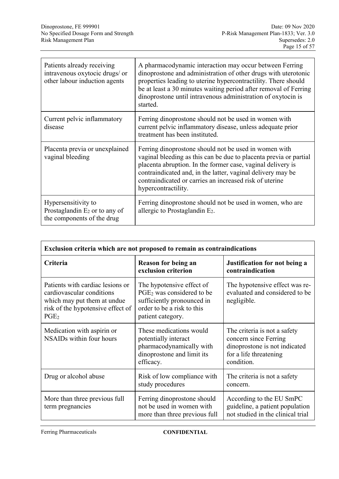| Patients already receiving<br>intravenous oxytocic drugs/ or<br>other labour induction agents | A pharmacodynamic interaction may occur between Ferring<br>dinoprostone and administration of other drugs with uterotonic<br>properties leading to uterine hypercontractility. There should<br>be at least a 30 minutes waiting period after removal of Ferring<br>dinoprostone until intravenous administration of oxytocin is<br>started. |
|-----------------------------------------------------------------------------------------------|---------------------------------------------------------------------------------------------------------------------------------------------------------------------------------------------------------------------------------------------------------------------------------------------------------------------------------------------|
| Current pelvic inflammatory<br>disease                                                        | Ferring dinoprostone should not be used in women with<br>current pelvic inflammatory disease, unless adequate prior<br>treatment has been instituted.                                                                                                                                                                                       |
| Placenta previa or unexplained<br>vaginal bleeding                                            | Ferring dinoprostone should not be used in women with<br>vaginal bleeding as this can be due to placenta previa or partial<br>placenta abruption. In the former case, vaginal delivery is<br>contraindicated and, in the latter, vaginal delivery may be<br>contraindicated or carries an increased risk of uterine<br>hypercontractility.  |
| Hypersensitivity to<br>Prostaglandin $E_2$ or to any of<br>the components of the drug         | Ferring dinoprostone should not be used in women, who are<br>allergic to Prostaglandin $E_2$ .                                                                                                                                                                                                                                              |

| Exclusion criteria which are not proposed to remain as contraindications                                                                              |                                                                                                                                                     |                                                                                                                                |  |  |
|-------------------------------------------------------------------------------------------------------------------------------------------------------|-----------------------------------------------------------------------------------------------------------------------------------------------------|--------------------------------------------------------------------------------------------------------------------------------|--|--|
| Criteria                                                                                                                                              | <b>Reason for being an</b><br>exclusion criterion                                                                                                   | Justification for not being a<br>contraindication                                                                              |  |  |
| Patients with cardiac lesions or<br>cardiovascular conditions<br>which may put them at undue<br>risk of the hypotensive effect of<br>PGE <sub>2</sub> | The hypotensive effect of<br>PGE <sub>2</sub> was considered to be<br>sufficiently pronounced in<br>order to be a risk to this<br>patient category. | The hypotensive effect was re-<br>evaluated and considered to be<br>negligible.                                                |  |  |
| Medication with aspirin or<br>NSAIDs within four hours                                                                                                | These medications would<br>potentially interact<br>pharmacodynamically with<br>dinoprostone and limit its<br>efficacy.                              | The criteria is not a safety<br>concern since Ferring<br>dinoprostone is not indicated<br>for a life threatening<br>condition. |  |  |
| Drug or alcohol abuse                                                                                                                                 | Risk of low compliance with<br>study procedures                                                                                                     | The criteria is not a safety<br>concern.                                                                                       |  |  |
| More than three previous full<br>term pregnancies                                                                                                     | Ferring dinoprostone should<br>not be used in women with<br>more than three previous full                                                           | According to the EU SmPC<br>guideline, a patient population<br>not studied in the clinical trial                               |  |  |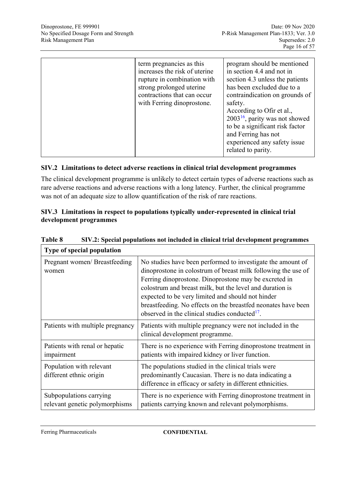| term pregnancies as this<br>increases the risk of uterine<br>rupture in combination with<br>strong prolonged uterine<br>contractions that can occur<br>with Ferring dinoprostone. | program should be mentioned<br>in section 4.4 and not in<br>section 4.3 unless the patients<br>has been excluded due to a<br>contraindication on grounds of<br>safety.<br>According to Ofir et al.,<br>$2003^{16}$ , parity was not showed<br>to be a significant risk factor<br>and Ferring has not<br>experienced any safety issue<br>related to parity. |
|-----------------------------------------------------------------------------------------------------------------------------------------------------------------------------------|------------------------------------------------------------------------------------------------------------------------------------------------------------------------------------------------------------------------------------------------------------------------------------------------------------------------------------------------------------|

### **SIV.2 Limitations to detect adverse reactions in clinical trial development programmes**

The clinical development programme is unlikely to detect certain types of adverse reactions such as rare adverse reactions and adverse reactions with a long latency. Further, the clinical programme was not of an adequate size to allow quantification of the risk of rare reactions.

#### **SIV.3 Limitations in respect to populations typically under-represented in clinical trial development programmes**

<span id="page-15-1"></span>

| Type of special population                                |                                                                                                                                                                                                                                                                                                                                                                                                                                       |
|-----------------------------------------------------------|---------------------------------------------------------------------------------------------------------------------------------------------------------------------------------------------------------------------------------------------------------------------------------------------------------------------------------------------------------------------------------------------------------------------------------------|
| Pregnant women/ Breastfeeding<br>women                    | No studies have been performed to investigate the amount of<br>dinoprostone in colostrum of breast milk following the use of<br>Ferring dinoprostone. Dinoprostone may be excreted in<br>colostrum and breast milk, but the level and duration is<br>expected to be very limited and should not hinder<br>breastfeeding. No effects on the breastfed neonates have been<br>observed in the clinical studies conducted <sup>17</sup> . |
| Patients with multiple pregnancy                          | Patients with multiple pregnancy were not included in the<br>clinical development programme.                                                                                                                                                                                                                                                                                                                                          |
| Patients with renal or hepatic<br>impairment              | There is no experience with Ferring dinoprostone treatment in<br>patients with impaired kidney or liver function.                                                                                                                                                                                                                                                                                                                     |
| Population with relevant<br>different ethnic origin       | The populations studied in the clinical trials were<br>predominantly Caucasian. There is no data indicating a<br>difference in efficacy or safety in different ethnicities.                                                                                                                                                                                                                                                           |
| Subpopulations carrying<br>relevant genetic polymorphisms | There is no experience with Ferring dinoprostone treatment in<br>patients carrying known and relevant polymorphisms.                                                                                                                                                                                                                                                                                                                  |

<span id="page-15-0"></span>**Table 8 SIV.2: Special populations not included in clinical trial development programmes**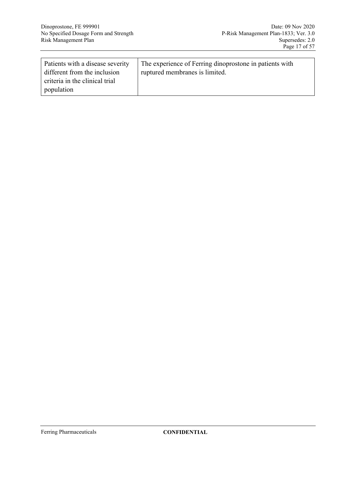| Patients with a disease severity | The experience of Ferring dinoprostone in patients with |
|----------------------------------|---------------------------------------------------------|
| different from the inclusion     | ruptured membranes is limited.                          |
| criteria in the clinical trial   |                                                         |
| population                       |                                                         |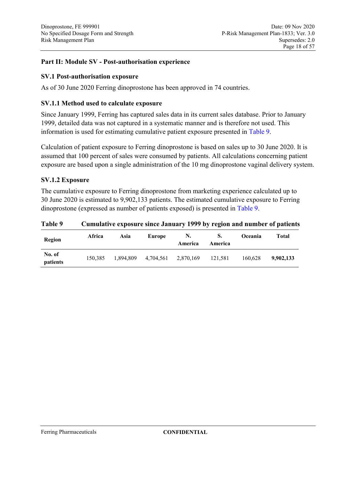### **Part II: Module SV - Post-authorisation experience**

#### **SV.1 Post-authorisation exposure**

As of 30 June 2020 Ferring dinoprostone has been approved in 74 countries.

#### **SV.1.1 Method used to calculate exposure**

Since January 1999, Ferring has captured sales data in its current sales database. Prior to January 1999, detailed data was not captured in a systematic manner and is therefore not used. This information is used for estimating cumulative patient exposure presented in [Table 9.](#page-17-0)

Calculation of patient exposure to Ferring dinoprostone is based on sales up to 30 June 2020. It is assumed that 100 percent of sales were consumed by patients. All calculations concerning patient exposure are based upon a single administration of the 10 mg dinoprostone vaginal delivery system.

#### **SV.1.2 Exposure**

The cumulative exposure to Ferring dinoprostone from marketing experience calculated up to 30 June 2020 is estimated to 9,902,133 patients. The estimated cumulative exposure to Ferring dinoprostone (expressed as number of patients exposed) is presented in [Table 9.](#page-17-0)

<span id="page-17-0"></span>

| 100107             |         |      |                               |               |         |                | Camanuty Caposary since sundary 1999 by region and number of patients |
|--------------------|---------|------|-------------------------------|---------------|---------|----------------|-----------------------------------------------------------------------|
| Region             | Africa  | Asia | Europe                        | N.<br>America | America | <b>Oceania</b> | Total                                                                 |
| No. of<br>patients | 150.385 |      | 1,894,809 4,704,561 2,870,169 |               | 121,581 | 160.628        | 9.902.133                                                             |

#### **Table 9 Cumulative exposure since January 1999 by region and number of patients**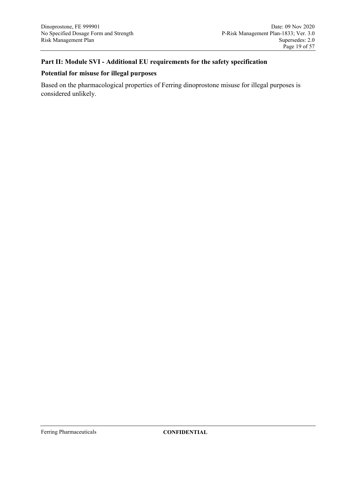### **Part II: Module SVI - Additional EU requirements for the safety specification**

### **Potential for misuse for illegal purposes**

Based on the pharmacological properties of Ferring dinoprostone misuse for illegal purposes is considered unlikely.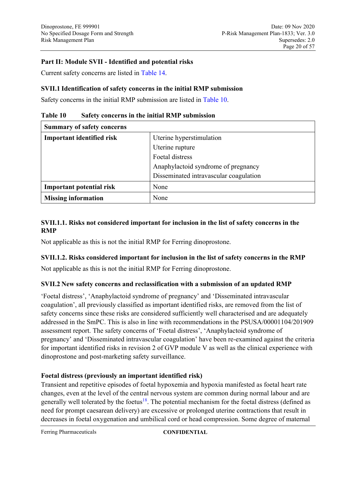### **Part II: Module SVII - Identified and potential risks**

Current safety concerns are listed in [Table 14.](#page-31-0)

### **SVII.1 Identification of safety concerns in the initial RMP submission**

Safety concerns in the initial RMP submission are listed in [Table 10.](#page-19-0)

| <b>Summary of safety concerns</b> |                                        |  |
|-----------------------------------|----------------------------------------|--|
| <b>Important identified risk</b>  | Uterine hyperstimulation               |  |
|                                   | Uterine rupture                        |  |
|                                   | Foetal distress                        |  |
|                                   | Anaphylactoid syndrome of pregnancy    |  |
|                                   | Disseminated intravascular coagulation |  |
| <b>Important potential risk</b>   | None                                   |  |
| <b>Missing information</b>        | None                                   |  |

### <span id="page-19-0"></span>**Table 10 Safety concerns in the initial RMP submission**

### **SVII.1.1. Risks not considered important for inclusion in the list of safety concerns in the RMP**

Not applicable as this is not the initial RMP for Ferring dinoprostone.

### **SVII.1.2. Risks considered important for inclusion in the list of safety concerns in the RMP**

Not applicable as this is not the initial RMP for Ferring dinoprostone.

### **SVII.2 New safety concerns and reclassification with a submission of an updated RMP**

'Foetal distress', 'Anaphylactoid syndrome of pregnancy' and 'Disseminated intravascular coagulation', all previously classified as important identified risks, are removed from the list of safety concerns since these risks are considered sufficiently well characterised and are adequately addressed in the SmPC. This is also in line with recommendations in the PSUSA/00001104/201909 assessment report. The safety concerns of 'Foetal distress', 'Anaphylactoid syndrome of pregnancy' and 'Disseminated intravascular coagulation' have been re-examined against the criteria for important identified risks in revision 2 of GVP module V as well as the clinical experience with dinoprostone and post-marketing safety surveillance.

### **Foetal distress (previously an important identified risk)**

Transient and repetitive episodes of foetal hypoxemia and hypoxia manifested as foetal heart rate changes, even at the level of the central nervous system are common during normal labour and are generally well tolerated by the foetus<sup>[18](#page-53-6)</sup>. The potential mechanism for the foetal distress (defined as need for prompt caesarean delivery) are excessive or prolonged uterine contractions that result in decreases in foetal oxygenation and umbilical cord or head compression. Some degree of maternal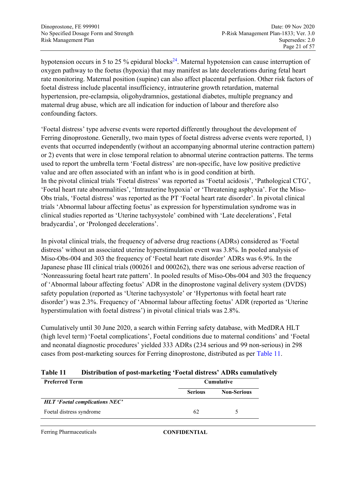hypotension occurs in 5 to 25 % epidural blocks<sup>[24](#page-24-0)</sup>. Maternal hypotension can cause interruption of oxygen pathway to the foetus (hypoxia) that may manifest as late decelerations during fetal heart rate monitoring. Maternal position (supine) can also affect placental perfusion. Other risk factors of foetal distress include placental insufficiency, intrauterine growth retardation, maternal hypertension, pre-eclampsia, oligohydramnios, gestational diabetes, multiple pregnancy and maternal drug abuse, which are all indication for induction of labour and therefore also confounding factors.

'Foetal distress' type adverse events were reported differently throughout the development of Ferring dinoprostone. Generally, two main types of foetal distress adverse events were reported, 1) events that occurred independently (without an accompanying abnormal uterine contraction pattern) or 2) events that were in close temporal relation to abnormal uterine contraction patterns. The terms used to report the umbrella term 'Foetal distress' are non-specific, have low positive predictive value and are often associated with an infant who is in good condition at birth. In the pivotal clinical trials 'Foetal distress' was reported as 'Foetal acidosis', 'Pathological CTG', 'Foetal heart rate abnormalities', 'Intrauterine hypoxia' or 'Threatening asphyxia'. For the Miso-Obs trials, 'Foetal distress' was reported as the PT 'Foetal heart rate disorder'. In pivotal clinical trials 'Abnormal labour affecting foetus' as expression for hyperstimulation syndrome was in clinical studies reported as 'Uterine tachysystole' combined with 'Late decelerations', Fetal bradycardia', or 'Prolonged decelerations'.

In pivotal clinical trials, the frequency of adverse drug reactions (ADRs) considered as 'Foetal distress' without an associated uterine hyperstimulation event was 3.8%. In pooled analysis of Miso-Obs-004 and 303 the frequency of 'Foetal heart rate disorder' ADRs was 6.9%. In the Japanese phase III clinical trials (000261 and 000262), there was one serious adverse reaction of 'Nonreassuring foetal heart rate pattern'. In pooled results of Miso-Obs-004 and 303 the frequency of 'Abnormal labour affecting foetus' ADR in the dinoprostone vaginal delivery system (DVDS) safety population (reported as 'Uterine tachysystole' or 'Hypertonus with foetal heart rate disorder') was 2.3%. Frequency of 'Abnormal labour affecting foetus' ADR (reported as 'Uterine hyperstimulation with foetal distress') in pivotal clinical trials was 2.8%.

Cumulatively until 30 June 2020, a search within Ferring safety database, with MedDRA HLT (high level term) 'Foetal complications', Foetal conditions due to maternal conditions' and 'Foetal and neonatal diagnostic procedures' yielded 333 ADRs (234 serious and 99 non-serious) in 298 cases from post-marketing sources for Ferring dinoprostone, distributed as per [Table 11.](#page-20-0)

#### <span id="page-20-0"></span>**Table 11 Distribution of post-marketing 'Foetal distress' ADRs cumulatively**

| <b>Preferred Term</b>                 | <b>Cumulative</b> |                    |
|---------------------------------------|-------------------|--------------------|
|                                       | <b>Serious</b>    | <b>Non-Serious</b> |
| <b>HLT</b> 'Foetal complications NEC' |                   |                    |
| Foetal distress syndrome              | 62                |                    |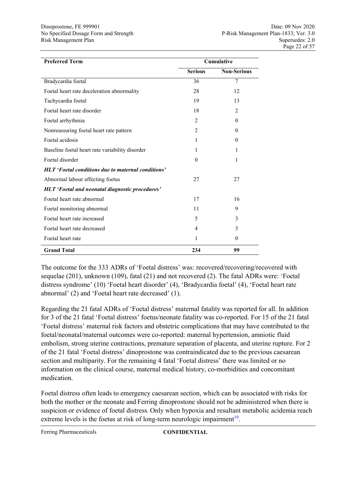| <b>Preferred Term</b>                              | <b>Cumulative</b> |                    |
|----------------------------------------------------|-------------------|--------------------|
|                                                    | <b>Serious</b>    | <b>Non-Serious</b> |
| Bradycardia foetal                                 | 36                | 7                  |
| Foetal heart rate deceleration abnormality         | 28                | 12                 |
| Tachycardia foetal                                 | 19                | 13                 |
| Foetal heart rate disorder                         | 18                | 2                  |
| Foetal arrhythmia                                  | $\overline{2}$    | $\theta$           |
| Nonreassuring foetal heart rate pattern            | $\overline{2}$    | $\Omega$           |
| Foetal acidosis                                    | 1                 | $\theta$           |
| Baseline foetal heart rate variability disorder    | 1                 | 1                  |
| Foetal disorder                                    | $\theta$          | 1                  |
| HLT 'Foetal conditions due to maternal conditions' |                   |                    |
| Abnormal labour affecting foetus                   | 27                | 27                 |
| HLT 'Foetal and neonatal diagnostic procedures'    |                   |                    |
| Foetal heart rate abnormal                         | 17                | 16                 |
| Foetal monitoring abnormal                         | 11                | 9                  |
| Foetal heart rate increased                        | 5                 | 3                  |
| Foetal heart rate decreased                        | 4                 | 3                  |
| Foetal heart rate                                  | 1                 | $\theta$           |
| <b>Grand Total</b>                                 | 234               | 99                 |

The outcome for the 333 ADRs of 'Foetal distress' was: recovered/recovering/recovered with sequelae (201), unknown (109), fatal (21) and not recovered (2). The fatal ADRs were: 'Foetal distress syndrome' (10) 'Foetal heart disorder' (4), 'Bradycardia foetal' (4), 'Foetal heart rate abnormal' (2) and 'Foetal heart rate decreased' (1).

Regarding the 21 fatal ADRs of 'Foetal distress' maternal fatality was reported for all. In addition for 3 of the 21 fatal 'Foetal distress' foetus/neonate fatality was co-reported. For 15 of the 21 fatal 'Foetal distress' maternal risk factors and obstetric complications that may have contributed to the foetal/neonatal/maternal outcomes were co-reported: maternal hypertension, amniotic fluid embolism, strong uterine contractions, premature separation of placenta, and uterine rupture. For 2 of the 21 fatal 'Foetal distress' dinoprostone was contraindicated due to the previous caesarean section and multiparity. For the remaining 4 fatal 'Foetal distress' there was limited or no information on the clinical course, maternal medical history, co-morbidities and concomitant medication.

Foetal distress often leads to emergency caesarean section, which can be associated with risks for both the mother or the neonate and Ferring dinoprostone should not be administered when there is suspicion or evidence of foetal distress. Only when hypoxia and resultant metabolic acidemia reach extreme levels is the foetus at risk of long-term neurologic impairment<sup>[19](#page-53-7)</sup>.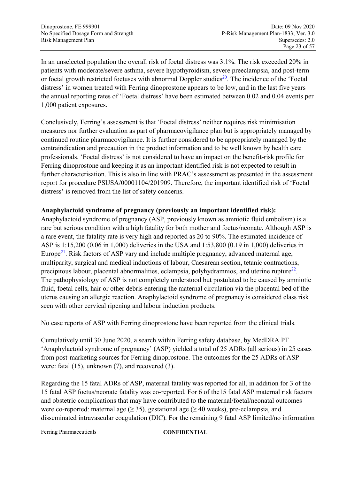In an unselected population the overall risk of foetal distress was 3.1%. The risk exceeded 20% in patients with moderate/severe asthma, severe hypothyroidism, severe preeclampsia, and post-term or foetal growth restricted foetuses with abnormal Doppler studies<sup>[20](#page-53-8)</sup>. The incidence of the 'Foetal distress' in women treated with Ferring dinoprostone appears to be low, and in the last five years the annual reporting rates of 'Foetal distress' have been estimated between 0.02 and 0.04 events per 1,000 patient exposures.

Conclusively, Ferring's assessment is that 'Foetal distress' neither requires risk minimisation measures nor further evaluation as part of pharmacovigilance plan but is appropriately managed by continued routine pharmacovigilance. It is further considered to be appropriately managed by the contraindication and precaution in the product information and to be well known by health care professionals. 'Foetal distress' is not considered to have an impact on the benefit-risk profile for Ferring dinoprostone and keeping it as an important identified risk is not expected to result in further characterisation. This is also in line with PRAC's assessment as presented in the assessment report for procedure PSUSA/00001104/201909. Therefore, the important identified risk of 'Foetal distress' is removed from the list of safety concerns.

### **Anaphylactoid syndrome of pregnancy (previously an important identified risk):**

<span id="page-22-1"></span>Anaphylactoid syndrome of pregnancy (ASP, previously known as amniotic fluid embolism) is a rare but serious condition with a high fatality for both mother and foetus/neonate. Although ASP is a rare event, the fatality rate is very high and reported as 20 to 90%. The estimated incidence of ASP is 1:15,200 (0.06 in 1,000) deliveries in the USA and 1:53,800 (0.19 in 1,000) deliveries in Europe<sup>[21](#page-53-9)</sup>. Risk factors of ASP vary and include multiple pregnancy, advanced maternal age, multiparity, surgical and medical inductions of labour, Caesarean section, tetanic contractions, precipitous labour, placental abnormalities, eclampsia, polyhydramnios, and uterine rupture $^{22}$  $^{22}$  $^{22}$ . The pathophysiology of ASP is not completely understood but postulated to be caused by amniotic fluid, foetal cells, hair or other debris entering the maternal circulation via the placental bed of the uterus causing an allergic reaction. Anaphylactoid syndrome of pregnancy is considered class risk seen with other cervical ripening and labour induction products.

<span id="page-22-0"></span>No case reports of ASP with Ferring dinoprostone have been reported from the clinical trials.

Cumulatively until 30 June 2020, a search within Ferring safety database, by MedDRA PT 'Anaphylactoid syndrome of pregnancy' (ASP) yielded a total of 25 ADRs (all serious) in 25 cases from post-marketing sources for Ferring dinoprostone. The outcomes for the 25 ADRs of ASP were: fatal (15), unknown (7), and recovered (3).

Regarding the 15 fatal ADRs of ASP, maternal fatality was reported for all, in addition for 3 of the 15 fatal ASP foetus/neonate fatality was co-reported. For 6 of the15 fatal ASP maternal risk factors and obstetric complications that may have contributed to the maternal/foetal/neonatal outcomes were co-reported: maternal age ( $\geq$  35), gestational age ( $\geq$  40 weeks), pre-eclampsia, and disseminated intravascular coagulation (DIC). For the remaining 9 fatal ASP limited/no information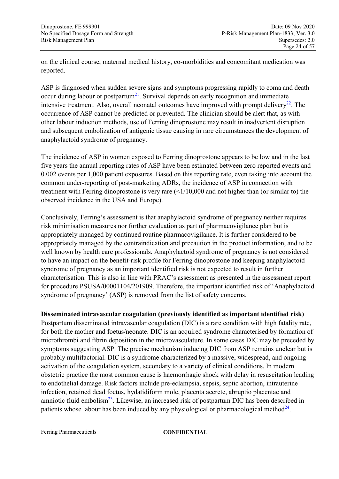on the clinical course, maternal medical history, co-morbidities and concomitant medication was reported.

ASP is diagnosed when sudden severe signs and symptoms progressing rapidly to coma and death occur during labour or postpartum<sup>[21](#page-22-1)</sup>. Survival depends on early recognition and immediate intensive treatment. Also, overall neonatal outcomes have improved with prompt delivery $^{22}$  $^{22}$  $^{22}$ . The occurrence of ASP cannot be predicted or prevented. The clinician should be alert that, as with other labour induction methods, use of Ferring dinoprostone may result in inadvertent disruption and subsequent embolization of antigenic tissue causing in rare circumstances the development of anaphylactoid syndrome of pregnancy.

The incidence of ASP in women exposed to Ferring dinoprostone appears to be low and in the last five years the annual reporting rates of ASP have been estimated between zero reported events and 0.002 events per 1,000 patient exposures. Based on this reporting rate, even taking into account the common under-reporting of post-marketing ADRs, the incidence of ASP in connection with treatment with Ferring dinoprostone is very rare  $\left( \frac{1}{10,000} \right)$  and not higher than (or similar to) the observed incidence in the USA and Europe).

Conclusively, Ferring's assessment is that anaphylactoid syndrome of pregnancy neither requires risk minimisation measures nor further evaluation as part of pharmacovigilance plan but is appropriately managed by continued routine pharmacovigilance. It is further considered to be appropriately managed by the contraindication and precaution in the product information, and to be well known by health care professionals. Anaphylactoid syndrome of pregnancy is not considered to have an impact on the benefit-risk profile for Ferring dinoprostone and keeping anaphylactoid syndrome of pregnancy as an important identified risk is not expected to result in further characterisation. This is also in line with PRAC's assessment as presented in the assessment report for procedure PSUSA/00001104/201909. Therefore, the important identified risk of 'Anaphylactoid syndrome of pregnancy' (ASP) is removed from the list of safety concerns.

### **Disseminated intravascular coagulation (previously identified as important identified risk)**

Postpartum disseminated intravascular coagulation (DIC) is a rare condition with high fatality rate, for both the mother and foetus/neonate. DIC is an acquired syndrome characterised by formation of microthrombi and fibrin deposition in the microvasculature. In some cases DIC may be preceded by symptoms suggesting ASP. The precise mechanism inducing DIC from ASP remains unclear but is probably multifactorial. DIC is a syndrome characterized by a massive, widespread, and ongoing activation of the coagulation system, secondary to a variety of clinical conditions. In modern obstetric practice the most common cause is haemorrhagic shock with delay in resuscitation leading to endothelial damage. Risk factors include pre-eclampsia, sepsis, septic abortion, intrauterine infection, retained dead foetus, hydatidiform mole, placenta accrete, abruptio placentae and amniotic fluid embolism<sup>[23](#page-53-11)</sup>. Likewise, an increased risk of postpartum DIC has been described in patients whose labour has been induced by any physiological or pharmacological method<sup>[24](#page-24-0)</sup>.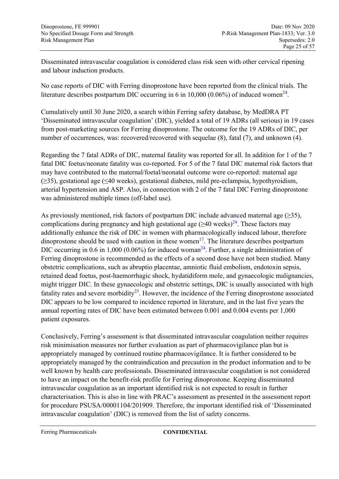Disseminated intravascular coagulation is considered class risk seen with other cervical ripening and labour induction products.

No case reports of DIC with Ferring dinoprostone have been reported from the clinical trials. The literature describes postpartum DIC occurring in 6 in 10,000 (0.06%) of induced women<sup>[24](#page-24-0)</sup>.

Cumulatively until 30 June 2020, a search within Ferring safety database, by MedDRA PT 'Disseminated intravascular coagulation' (DIC), yielded a total of 19 ADRs (all serious) in 19 cases from post-marketing sources for Ferring dinoprostone. The outcome for the 19 ADRs of DIC, per number of occurrences, was: recovered/recovered with sequelae (8), fatal (7), and unknown (4).

Regarding the 7 fatal ADRs of DIC, maternal fatality was reported for all. In addition for 1 of the 7 fatal DIC foetus/neonate fatality was co-reported. For 5 of the 7 fatal DIC maternal risk factors that may have contributed to the maternal/foetal/neonatal outcome were co-reported: maternal age (≥35), gestational age (≤40 weeks), gestational diabetes, mild pre-eclampsia, hypothyroidism, arterial hypertension and ASP. Also, in connection with 2 of the 7 fatal DIC Ferring dinoprostone was administered multiple times (off-label use).

<span id="page-24-0"></span>As previously mentioned, risk factors of postpartum DIC include advanced maternal age (≥35), complications during pregnancy and high gestational age  $(\geq 40 \text{ weeks})^{24}$  $(\geq 40 \text{ weeks})^{24}$  $(\geq 40 \text{ weeks})^{24}$ . These factors may additionally enhance the risk of DIC in women with pharmacologically induced labour, therefore dinoprostone should be used with caution in these women<sup>[17](#page-15-1)</sup>. The literature describes postpartum DIC occurring in 0.6 in 1,000 (0.06%) for induced woman<sup>[24](#page-24-0)</sup>. Further, a single administration of Ferring dinoprostone is recommended as the effects of a second dose have not been studied. Many obstetric complications, such as abruptio placentae, amniotic fluid embolism, endotoxin sepsis, retained dead foetus, post-haemorrhagic shock, hydatidiform mole, and gynaecologic malignancies, might trigger DIC. In these gynaecologic and obstetric settings, DIC is usually associated with high fatality rates and severe morbidity<sup>[25](#page-54-1)</sup>. However, the incidence of the Ferring dinoprostone associated DIC appears to be low compared to incidence reported in literature, and in the last five years the annual reporting rates of DIC have been estimated between 0.001 and 0.004 events per 1,000 patient exposures.

Conclusively, Ferring's assessment is that disseminated intravascular coagulation neither requires risk minimisation measures nor further evaluation as part of pharmacovigilance plan but is appropriately managed by continued routine pharmacovigilance. It is further considered to be appropriately managed by the contraindication and precaution in the product information and to be well known by health care professionals. Disseminated intravascular coagulation is not considered to have an impact on the benefit-risk profile for Ferring dinoprostone. Keeping disseminated intravascular coagulation as an important identified risk is not expected to result in further characterisation. This is also in line with PRAC's assessment as presented in the assessment report for procedure PSUSA/00001104/201909. Therefore, the important identified risk of 'Disseminated intravascular coagulation' (DIC) is removed from the list of safety concerns.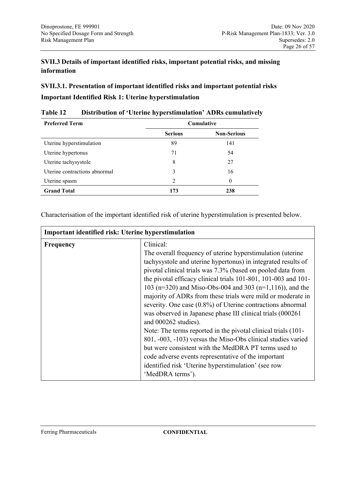# **SVII.3 Details of important identified risks, important potential risks, and missing information**

**SVII.3.1. Presentation of important identified risks and important potential risks Important Identified Risk 1: Uterine hyperstimulation**

| <b>Preferred Term</b>         | Cumulative     |                    |
|-------------------------------|----------------|--------------------|
|                               | <b>Serious</b> | <b>Non-Serious</b> |
| Uterine hyperstimulation      | 89             | 141                |
| Uterine hypertonus            | 71             | 54                 |
| Uterine tachysystole          | 8              | 27                 |
| Uterine contractions abnormal | 3              | 16                 |
| Uterine spasm                 | $\overline{2}$ | $\theta$           |
| <b>Grand Total</b>            | 173            | 238                |

#### **Table 12 Distribution of 'Uterine hyperstimulation' ADRs cumulatively**

Characterisation of the important identified risk of uterine hyperstimulation is presented below.

| <b>Important identified risk: Uterine hyperstimulation</b> |                                                                                                                                                                                                                                                                                                                                                                                                                                                                                                                                                                                                                                                                                                                                                                                                                                                                                         |  |
|------------------------------------------------------------|-----------------------------------------------------------------------------------------------------------------------------------------------------------------------------------------------------------------------------------------------------------------------------------------------------------------------------------------------------------------------------------------------------------------------------------------------------------------------------------------------------------------------------------------------------------------------------------------------------------------------------------------------------------------------------------------------------------------------------------------------------------------------------------------------------------------------------------------------------------------------------------------|--|
| Frequency                                                  | Clinical:<br>The overall frequency of uterine hyperstimulation (uterine<br>tachysystole and uterine hypertonus) in integrated results of<br>pivotal clinical trials was 7.3% (based on pooled data from<br>the pivotal efficacy clinical trials 101-801, 101-003 and 101-<br>103 (n=320) and Miso-Obs-004 and 303 (n=1,116)), and the<br>majority of ADRs from these trials were mild or moderate in<br>severity. One case $(0.8\%)$ of Uterine contractions abnormal<br>was observed in Japanese phase III clinical trials (000261)<br>and 000262 studies).<br>Note: The terms reported in the pivotal clinical trials (101-<br>801, -003, -103) versus the Miso-Obs clinical studies varied<br>but were consistent with the MedDRA PT terms used to<br>code adverse events representative of the important<br>identified risk 'Uterine hyperstimulation' (see row<br>'MedDRA terms'). |  |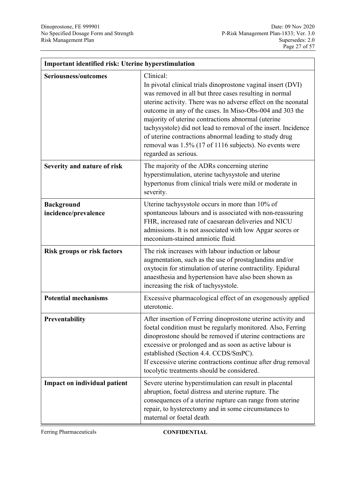| <b>Important identified risk: Uterine hyperstimulation</b> |                                                                                                                                                                                                                                                                                                                                                                                                                                                                                                                                      |  |
|------------------------------------------------------------|--------------------------------------------------------------------------------------------------------------------------------------------------------------------------------------------------------------------------------------------------------------------------------------------------------------------------------------------------------------------------------------------------------------------------------------------------------------------------------------------------------------------------------------|--|
| Seriousness/outcomes                                       | Clinical:<br>In pivotal clinical trials dinoprostone vaginal insert (DVI)<br>was removed in all but three cases resulting in normal<br>uterine activity. There was no adverse effect on the neonatal<br>outcome in any of the cases. In Miso-Obs-004 and 303 the<br>majority of uterine contractions abnormal (uterine<br>tachysystole) did not lead to removal of the insert. Incidence<br>of uterine contractions abnormal leading to study drug<br>removal was 1.5% (17 of 1116 subjects). No events were<br>regarded as serious. |  |
| Severity and nature of risk                                | The majority of the ADRs concerning uterine<br>hyperstimulation, uterine tachysystole and uterine<br>hypertonus from clinical trials were mild or moderate in<br>severity.                                                                                                                                                                                                                                                                                                                                                           |  |
| <b>Background</b><br>incidence/prevalence                  | Uterine tachysystole occurs in more than 10% of<br>spontaneous labours and is associated with non-reassuring<br>FHR, increased rate of caesarean deliveries and NICU<br>admissions. It is not associated with low Apgar scores or<br>meconium-stained amniotic fluid.                                                                                                                                                                                                                                                                |  |
| <b>Risk groups or risk factors</b>                         | The risk increases with labour induction or labour<br>augmentation, such as the use of prostaglandins and/or<br>oxytocin for stimulation of uterine contractility. Epidural<br>anaesthesia and hypertension have also been shown as<br>increasing the risk of tachysystole.                                                                                                                                                                                                                                                          |  |
| <b>Potential mechanisms</b>                                | Excessive pharmacological effect of an exogenously applied<br>uterotonic.                                                                                                                                                                                                                                                                                                                                                                                                                                                            |  |
| Preventability                                             | After insertion of Ferring dinoprostone uterine activity and<br>foetal condition must be regularly monitored. Also, Ferring<br>dinoprostone should be removed if uterine contractions are<br>excessive or prolonged and as soon as active labour is<br>established (Section 4.4. CCDS/SmPC).<br>If excessive uterine contractions continue after drug removal<br>tocolytic treatments should be considered.                                                                                                                          |  |
| <b>Impact on individual patient</b>                        | Severe uterine hyperstimulation can result in placental<br>abruption, foetal distress and uterine rupture. The<br>consequences of a uterine rupture can range from uterine<br>repair, to hysterectomy and in some circumstances to<br>maternal or foetal death.                                                                                                                                                                                                                                                                      |  |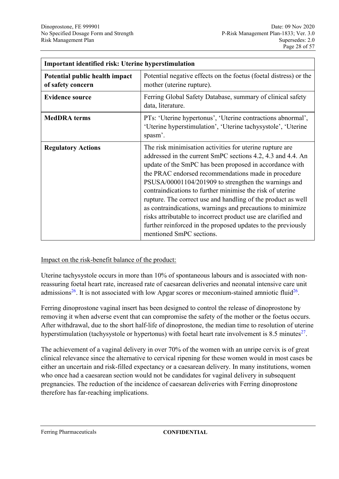| <b>Important identified risk: Uterine hyperstimulation</b> |                                                                                                                                                                                                                                                                                                                                                                                                                                                                                                                                                                                                                                                            |  |
|------------------------------------------------------------|------------------------------------------------------------------------------------------------------------------------------------------------------------------------------------------------------------------------------------------------------------------------------------------------------------------------------------------------------------------------------------------------------------------------------------------------------------------------------------------------------------------------------------------------------------------------------------------------------------------------------------------------------------|--|
| Potential public health impact<br>of safety concern        | Potential negative effects on the foetus (foetal distress) or the<br>mother (uterine rupture).                                                                                                                                                                                                                                                                                                                                                                                                                                                                                                                                                             |  |
| <b>Evidence source</b>                                     | Ferring Global Safety Database, summary of clinical safety<br>data, literature.                                                                                                                                                                                                                                                                                                                                                                                                                                                                                                                                                                            |  |
| <b>MedDRA</b> terms                                        | PTs: 'Uterine hypertonus', 'Uterine contractions abnormal',<br>'Uterine hyperstimulation', 'Uterine tachysystole', 'Uterine<br>spasm'.                                                                                                                                                                                                                                                                                                                                                                                                                                                                                                                     |  |
| <b>Regulatory Actions</b>                                  | The risk minimisation activities for uterine rupture are.<br>addressed in the current SmPC sections 4.2, 4.3 and 4.4. An<br>update of the SmPC has been proposed in accordance with<br>the PRAC endorsed recommendations made in procedure<br>PSUSA/00001104/201909 to strengthen the warnings and<br>contraindications to further minimise the risk of uterine<br>rupture. The correct use and handling of the product as well<br>as contraindications, warnings and precautions to minimize<br>risks attributable to incorrect product use are clarified and<br>further reinforced in the proposed updates to the previously<br>mentioned SmPC sections. |  |

#### Impact on the risk-benefit balance of the product:

Uterine tachysystole occurs in more than 10% of spontaneous labours and is associated with nonreassuring foetal heart rate, increased rate of caesarean deliveries and neonatal intensive care unit admissions<sup>[26](#page-54-2)</sup>. It is not associated with low Apgar scores or meconium-stained amniotic fluid<sup>26</sup>.

<span id="page-27-0"></span>Ferring dinoprostone vaginal insert has been designed to control the release of dinoprostone by removing it when adverse event that can compromise the safety of the mother or the foetus occurs. After withdrawal, due to the short half-life of dinoprostone, the median time to resolution of uterine hyperstimulation (tachysystole or hypertonus) with foetal heart rate involvement is 8.5 minutes $^{27}$  $^{27}$  $^{27}$ .

The achievement of a vaginal delivery in over 70% of the women with an unripe cervix is of great clinical relevance since the alternative to cervical ripening for these women would in most cases be either an uncertain and risk-filled expectancy or a caesarean delivery. In many institutions, women who once had a caesarean section would not be candidates for vaginal delivery in subsequent pregnancies. The reduction of the incidence of caesarean deliveries with Ferring dinoprostone therefore has far-reaching implications.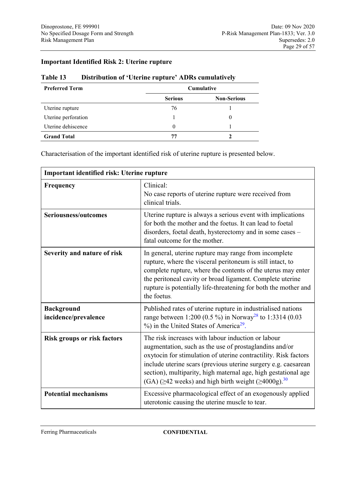### **Important Identified Risk 2: Uterine rupture**

#### **Table 13 Distribution of 'Uterine rupture' ADRs cumulatively**

| <b>Preferred Term</b> | Cumulative     |                    |
|-----------------------|----------------|--------------------|
|                       | <b>Serious</b> | <b>Non-Serious</b> |
| Uterine rupture       | 76             |                    |
| Uterine perforation   |                |                    |
| Uterine dehiscence    | 0              |                    |
| <b>Grand Total</b>    | 77             |                    |

Characterisation of the important identified risk of uterine rupture is presented below.

| Important identified risk: Uterine rupture |                                                                                                                                                                                                                                                                                                                                                                                                     |
|--------------------------------------------|-----------------------------------------------------------------------------------------------------------------------------------------------------------------------------------------------------------------------------------------------------------------------------------------------------------------------------------------------------------------------------------------------------|
| Frequency                                  | Clinical:<br>No case reports of uterine rupture were received from<br>clinical trials.                                                                                                                                                                                                                                                                                                              |
| Seriousness/outcomes                       | Uterine rupture is always a serious event with implications<br>for both the mother and the foetus. It can lead to foetal<br>disorders, foetal death, hysterectomy and in some cases -<br>fatal outcome for the mother.                                                                                                                                                                              |
| Severity and nature of risk                | In general, uterine rupture may range from incomplete<br>rupture, where the visceral peritoneum is still intact, to<br>complete rupture, where the contents of the uterus may enter<br>the peritoneal cavity or broad ligament. Complete uterine<br>rupture is potentially life-threatening for both the mother and<br>the foetus.                                                                  |
| <b>Background</b><br>incidence/prevalence  | Published rates of uterine rupture in industrialised nations<br>range between 1:200 (0.5 %) in Norway <sup>28</sup> to 1:3314 (0.03<br>%) in the United States of America <sup>29</sup> .                                                                                                                                                                                                           |
| <b>Risk groups or risk factors</b>         | The risk increases with labour induction or labour<br>augmentation, such as the use of prostaglandins and/or<br>oxytocin for stimulation of uterine contractility. Risk factors<br>include uterine scars (previous uterine surgery e.g. caesarean<br>section), multiparity, high maternal age, high gestational age<br>(GA) ( $\geq$ 42 weeks) and high birth weight ( $\geq$ 4000g). <sup>30</sup> |
| <b>Potential mechanisms</b>                | Excessive pharmacological effect of an exogenously applied<br>uterotonic causing the uterine muscle to tear.                                                                                                                                                                                                                                                                                        |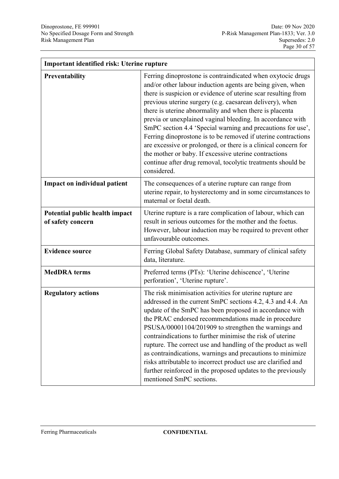$\mathbf{r}$ 

ä,

| Important identified risk: Uterine rupture          |                                                                                                                                                                                                                                                                                                                                                                                                                                                                                                                                                                                                                                                                                                                          |  |
|-----------------------------------------------------|--------------------------------------------------------------------------------------------------------------------------------------------------------------------------------------------------------------------------------------------------------------------------------------------------------------------------------------------------------------------------------------------------------------------------------------------------------------------------------------------------------------------------------------------------------------------------------------------------------------------------------------------------------------------------------------------------------------------------|--|
| Preventability                                      | Ferring dinoprostone is contraindicated when oxytocic drugs<br>and/or other labour induction agents are being given, when<br>there is suspicion or evidence of uterine scar resulting from<br>previous uterine surgery (e.g. caesarean delivery), when<br>there is uterine abnormality and when there is placenta<br>previa or unexplained vaginal bleeding. In accordance with<br>SmPC section 4.4 'Special warning and precautions for use',<br>Ferring dinoprostone is to be removed if uterine contractions<br>are excessive or prolonged, or there is a clinical concern for<br>the mother or baby. If excessive uterine contractions<br>continue after drug removal, tocolytic treatments should be<br>considered. |  |
| Impact on individual patient                        | The consequences of a uterine rupture can range from<br>uterine repair, to hysterectomy and in some circumstances to<br>maternal or foetal death.                                                                                                                                                                                                                                                                                                                                                                                                                                                                                                                                                                        |  |
| Potential public health impact<br>of safety concern | Uterine rupture is a rare complication of labour, which can<br>result in serious outcomes for the mother and the foetus.<br>However, labour induction may be required to prevent other<br>unfavourable outcomes.                                                                                                                                                                                                                                                                                                                                                                                                                                                                                                         |  |
| <b>Evidence source</b>                              | Ferring Global Safety Database, summary of clinical safety<br>data, literature.                                                                                                                                                                                                                                                                                                                                                                                                                                                                                                                                                                                                                                          |  |
| <b>MedDRA</b> terms                                 | Preferred terms (PTs): 'Uterine dehiscence', 'Uterine<br>perforation', 'Uterine rupture'.                                                                                                                                                                                                                                                                                                                                                                                                                                                                                                                                                                                                                                |  |
| <b>Regulatory actions</b>                           | The risk minimisation activities for uterine rupture are<br>addressed in the current SmPC sections 4.2, 4.3 and 4.4. An<br>update of the SmPC has been proposed in accordance with<br>the PRAC endorsed recommendations made in procedure<br>PSUSA/00001104/201909 to strengthen the warnings and<br>contraindications to further minimise the risk of uterine<br>rupture. The correct use and handling of the product as well<br>as contraindications, warnings and precautions to minimize<br>risks attributable to incorrect product use are clarified and<br>further reinforced in the proposed updates to the previously<br>mentioned SmPC sections.                                                                |  |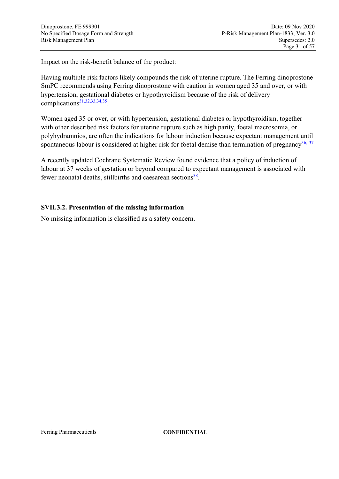Impact on the risk-benefit balance of the product:

Having multiple risk factors likely compounds the risk of uterine rupture. The Ferring dinoprostone SmPC recommends using Ferring dinoprostone with caution in women aged 35 and over, or with hypertension, gestational diabetes or hypothyroidism because of the risk of delivery complications $31,32,33,34,35$  $31,32,33,34,35$  $31,32,33,34,35$  $31,32,33,34,35$  $31,32,33,34,35$ .

Women aged 35 or over, or with hypertension, gestational diabetes or hypothyroidism, together with other described risk factors for uterine rupture such as high parity, foetal macrosomia, or polyhydramnios, are often the indications for labour induction because expectant management until spontaneous labour is considered at higher risk for foetal demise than termination of pregnancy<sup>[36,](#page-55-0) [37](#page-55-1)</sup>

A recently updated Cochrane Systematic Review found evidence that a policy of induction of labour at 37 weeks of gestation or beyond compared to expectant management is associated with fewer neonatal deaths, stillbirths and caesarean sections<sup>[38](#page-55-2)</sup>.

### **SVII.3.2. Presentation of the missing information**

No missing information is classified as a safety concern.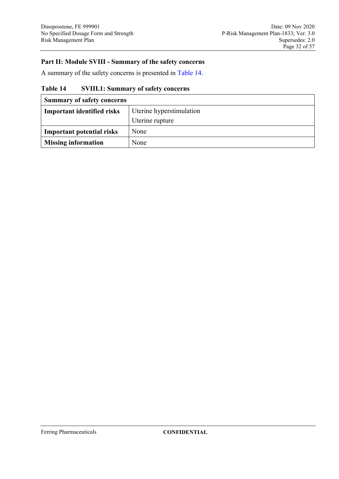### **Part II: Module SVIII - Summary of the safety concerns**

A summary of the safety concerns is presented in [Table 14.](#page-31-0)

### <span id="page-31-0"></span>**Table 14 SVIII.1: Summary of safety concerns**

| <b>Summary of safety concerns</b> |                          |
|-----------------------------------|--------------------------|
| <b>Important identified risks</b> | Uterine hyperstimulation |
|                                   | Uterine rupture          |
| <b>Important potential risks</b>  | None                     |
| <b>Missing information</b>        | None                     |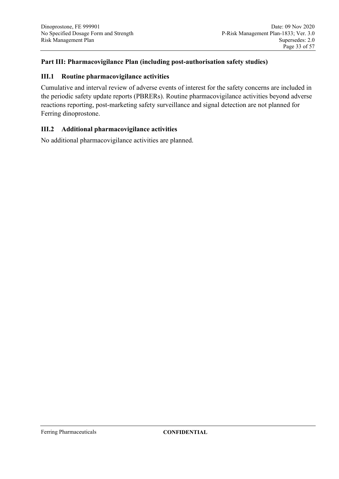### **Part III: Pharmacovigilance Plan (including post-authorisation safety studies)**

#### **III.1 Routine pharmacovigilance activities**

Cumulative and interval review of adverse events of interest for the safety concerns are included in the periodic safety update reports (PBRERs). Routine pharmacovigilance activities beyond adverse reactions reporting, post-marketing safety surveillance and signal detection are not planned for Ferring dinoprostone.

### **III.2 Additional pharmacovigilance activities**

No additional pharmacovigilance activities are planned.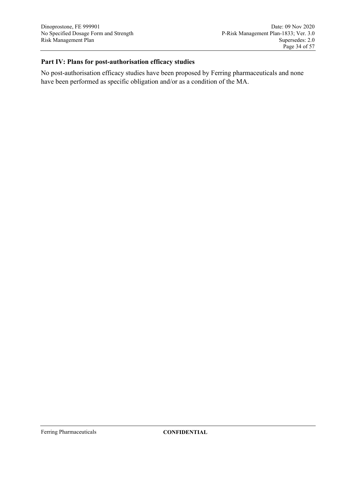### **Part IV: Plans for post-authorisation efficacy studies**

No post-authorisation efficacy studies have been proposed by Ferring pharmaceuticals and none have been performed as specific obligation and/or as a condition of the MA.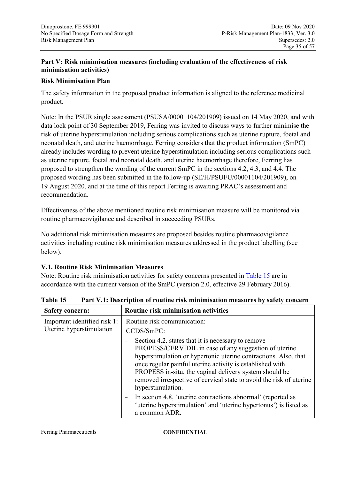### **Part V: Risk minimisation measures (including evaluation of the effectiveness of risk minimisation activities)**

### **Risk Minimisation Plan**

The safety information in the proposed product information is aligned to the reference medicinal product.

Note: In the PSUR single assessment (PSUSA/00001104/201909) issued on 14 May 2020, and with data lock point of 30 September 2019, Ferring was invited to discuss ways to further minimise the risk of uterine hyperstimulation including serious complications such as uterine rupture, foetal and neonatal death, and uterine haemorrhage. Ferring considers that the product information (SmPC) already includes wording to prevent uterine hyperstimulation including serious complications such as uterine rupture, foetal and neonatal death, and uterine haemorrhage therefore, Ferring has proposed to strengthen the wording of the current SmPC in the sections 4.2, 4.3, and 4.4. The proposed wording has been submitted in the follow-up (SE/H/PSUFU/00001104/201909), on 19 August 2020, and at the time of this report Ferring is awaiting PRAC's assessment and recommendation.

Effectiveness of the above mentioned routine risk minimisation measure will be monitored via routine pharmacovigilance and described in succeeding PSURs.

No additional risk minimisation measures are proposed besides routine pharmacovigilance activities including routine risk minimisation measures addressed in the product labelling (see below).

#### **V.1. Routine Risk Minimisation Measures**

Note: Routine risk minimisation activities for safety concerns presented in [Table 15](#page-34-0) are in accordance with the current version of the SmPC (version 2.0, effective 29 February 2016).

| <b>Safety concern:</b>                                   | Routine risk minimisation activities                                                                                                                                                                                                                                                                                                                                                              |
|----------------------------------------------------------|---------------------------------------------------------------------------------------------------------------------------------------------------------------------------------------------------------------------------------------------------------------------------------------------------------------------------------------------------------------------------------------------------|
| Important identified risk 1:<br>Uterine hyperstimulation | Routine risk communication:<br>CCDS/SmPC:                                                                                                                                                                                                                                                                                                                                                         |
|                                                          | Section 4.2. states that it is necessary to remove<br>PROPESS/CERVIDIL in case of any suggestion of uterine<br>hyperstimulation or hypertonic uterine contractions. Also, that<br>once regular painful uterine activity is established with<br>PROPESS in-situ, the vaginal delivery system should be<br>removed irrespective of cervical state to avoid the risk of uterine<br>hyperstimulation. |
|                                                          | In section 4.8, 'uterine contractions abnormal' (reported as<br>$\overline{\phantom{m}}$<br>'uterine hyperstimulation' and 'uterine hypertonus') is listed as<br>a common ADR.                                                                                                                                                                                                                    |

<span id="page-34-0"></span>**Table 15 Part V.1: Description of routine risk minimisation measures by safety concern**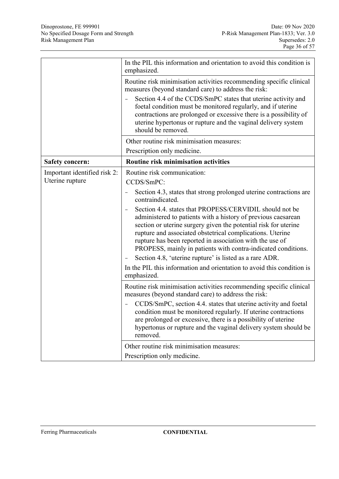|                                                 | In the PIL this information and orientation to avoid this condition is<br>emphasized.                                                                                                                                                                                                                                                                                                                                                            |
|-------------------------------------------------|--------------------------------------------------------------------------------------------------------------------------------------------------------------------------------------------------------------------------------------------------------------------------------------------------------------------------------------------------------------------------------------------------------------------------------------------------|
|                                                 | Routine risk minimisation activities recommending specific clinical<br>measures (beyond standard care) to address the risk:                                                                                                                                                                                                                                                                                                                      |
|                                                 | Section 4.4 of the CCDS/SmPC states that uterine activity and<br>foetal condition must be monitored regularly, and if uterine<br>contractions are prolonged or excessive there is a possibility of<br>uterine hypertonus or rupture and the vaginal delivery system<br>should be removed.                                                                                                                                                        |
|                                                 | Other routine risk minimisation measures:<br>Prescription only medicine.                                                                                                                                                                                                                                                                                                                                                                         |
| <b>Safety concern:</b>                          | Routine risk minimisation activities                                                                                                                                                                                                                                                                                                                                                                                                             |
| Important identified risk 2:<br>Uterine rupture | Routine risk communication:<br>CCDS/SmPC:                                                                                                                                                                                                                                                                                                                                                                                                        |
|                                                 | Section 4.3, states that strong prolonged uterine contractions are<br>contraindicated.                                                                                                                                                                                                                                                                                                                                                           |
|                                                 | Section 4.4. states that PROPESS/CERVIDIL should not be<br>administered to patients with a history of previous caesarean<br>section or uterine surgery given the potential risk for uterine<br>rupture and associated obstetrical complications. Uterine<br>rupture has been reported in association with the use of<br>PROPESS, mainly in patients with contra-indicated conditions.<br>Section 4.8, 'uterine rupture' is listed as a rare ADR. |
|                                                 | In the PIL this information and orientation to avoid this condition is<br>emphasized.                                                                                                                                                                                                                                                                                                                                                            |
|                                                 | Routine risk minimisation activities recommending specific clinical<br>measures (beyond standard care) to address the risk:                                                                                                                                                                                                                                                                                                                      |
|                                                 | CCDS/SmPC, section 4.4. states that uterine activity and foetal<br>condition must be monitored regularly. If uterine contractions<br>are prolonged or excessive, there is a possibility of uterine<br>hypertonus or rupture and the vaginal delivery system should be<br>removed.                                                                                                                                                                |
|                                                 | Other routine risk minimisation measures:                                                                                                                                                                                                                                                                                                                                                                                                        |
|                                                 | Prescription only medicine.                                                                                                                                                                                                                                                                                                                                                                                                                      |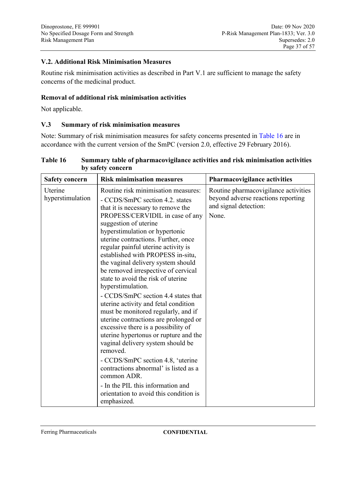### **V.2. Additional Risk Minimisation Measures**

Routine risk minimisation activities as described in Part V.1 are sufficient to manage the safety concerns of the medicinal product.

#### **Removal of additional risk minimisation activities**

Not applicable.

#### **V.3 Summary of risk minimisation measures**

Note: Summary of risk minimisation measures for safety concerns presented in [Table 16](#page-36-0) are in accordance with the current version of the SmPC (version 2.0, effective 29 February 2016).

| <b>Safety concern</b>       | <b>Risk minimisation measures</b>                                                                                                                                                                                                                                                                                                                                                                                                                                                                                                                                                                                                                                                                                                                                                                                                                                                                                                                                | <b>Pharmacovigilance activities</b>                                                                          |
|-----------------------------|------------------------------------------------------------------------------------------------------------------------------------------------------------------------------------------------------------------------------------------------------------------------------------------------------------------------------------------------------------------------------------------------------------------------------------------------------------------------------------------------------------------------------------------------------------------------------------------------------------------------------------------------------------------------------------------------------------------------------------------------------------------------------------------------------------------------------------------------------------------------------------------------------------------------------------------------------------------|--------------------------------------------------------------------------------------------------------------|
| Uterine<br>hyperstimulation | Routine risk minimisation measures:<br>- CCDS/SmPC section 4.2. states<br>that it is necessary to remove the<br>PROPESS/CERVIDIL in case of any<br>suggestion of uterine<br>hyperstimulation or hypertonic<br>uterine contractions. Further, once<br>regular painful uterine activity is<br>established with PROPESS in-situ,<br>the vaginal delivery system should<br>be removed irrespective of cervical<br>state to avoid the risk of uterine<br>hyperstimulation.<br>- CCDS/SmPC section 4.4 states that<br>uterine activity and fetal condition<br>must be monitored regularly, and if<br>uterine contractions are prolonged or<br>excessive there is a possibility of<br>uterine hypertonus or rupture and the<br>vaginal delivery system should be<br>removed.<br>- CCDS/SmPC section 4.8, 'uterine<br>contractions abnormal' is listed as a<br>common ADR.<br>- In the PIL this information and<br>orientation to avoid this condition is<br>emphasized. | Routine pharmacovigilance activities<br>beyond adverse reactions reporting<br>and signal detection:<br>None. |

<span id="page-36-0"></span>

| Table 16 | Summary table of pharmacovigilance activities and risk minimisation activities |
|----------|--------------------------------------------------------------------------------|
|          | by safety concern                                                              |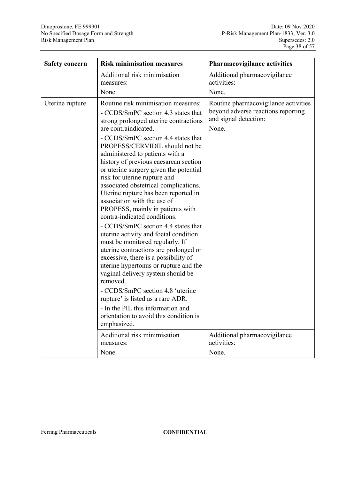| <b>Safety concern</b> | <b>Risk minimisation measures</b>                                                                                                                                                                                                                                                                                                                                                                                                                                                                                                                                                                                                                                                                                                                                                                                                                                                                                                                                                                                                   | Pharmacovigilance activities                                                                                 |
|-----------------------|-------------------------------------------------------------------------------------------------------------------------------------------------------------------------------------------------------------------------------------------------------------------------------------------------------------------------------------------------------------------------------------------------------------------------------------------------------------------------------------------------------------------------------------------------------------------------------------------------------------------------------------------------------------------------------------------------------------------------------------------------------------------------------------------------------------------------------------------------------------------------------------------------------------------------------------------------------------------------------------------------------------------------------------|--------------------------------------------------------------------------------------------------------------|
|                       | Additional risk minimisation<br>measures:<br>None.                                                                                                                                                                                                                                                                                                                                                                                                                                                                                                                                                                                                                                                                                                                                                                                                                                                                                                                                                                                  | Additional pharmacovigilance<br>activities:<br>None.                                                         |
| Uterine rupture       | Routine risk minimisation measures:<br>- CCDS/SmPC section 4.3 states that<br>strong prolonged uterine contractions<br>are contraindicated.<br>- CCDS/SmPC section 4.4 states that<br>PROPESS/CERVIDIL should not be<br>administered to patients with a<br>history of previous caesarean section<br>or uterine surgery given the potential<br>risk for uterine rupture and<br>associated obstetrical complications.<br>Uterine rupture has been reported in<br>association with the use of<br>PROPESS, mainly in patients with<br>contra-indicated conditions.<br>- CCDS/SmPC section 4.4 states that<br>uterine activity and foetal condition<br>must be monitored regularly. If<br>uterine contractions are prolonged or<br>excessive, there is a possibility of<br>uterine hypertonus or rupture and the<br>vaginal delivery system should be<br>removed.<br>- CCDS/SmPC section 4.8 'uterine<br>rupture' is listed as a rare ADR.<br>- In the PIL this information and<br>orientation to avoid this condition is<br>emphasized. | Routine pharmacovigilance activities<br>beyond adverse reactions reporting<br>and signal detection:<br>None. |
|                       | Additional risk minimisation<br>measures:<br>None.                                                                                                                                                                                                                                                                                                                                                                                                                                                                                                                                                                                                                                                                                                                                                                                                                                                                                                                                                                                  | Additional pharmacovigilance<br>activities:<br>None.                                                         |
|                       |                                                                                                                                                                                                                                                                                                                                                                                                                                                                                                                                                                                                                                                                                                                                                                                                                                                                                                                                                                                                                                     |                                                                                                              |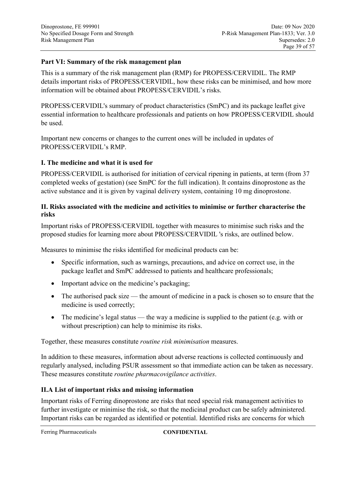### **Part VI: Summary of the risk management plan**

This is a summary of the risk management plan (RMP) for PROPESS/CERVIDIL. The RMP details important risks of PROPESS/CERVIDIL, how these risks can be minimised, and how more information will be obtained about PROPESS/CERVIDIL's risks.

PROPESS/CERVIDIL's summary of product characteristics (SmPC) and its package leaflet give essential information to healthcare professionals and patients on how PROPESS/CERVIDIL should be used.

Important new concerns or changes to the current ones will be included in updates of PROPESS/CERVIDIL's RMP.

### **I. The medicine and what it is used for**

PROPESS/CERVIDIL is authorised for initiation of cervical ripening in patients, at term (from 37 completed weeks of gestation) (see SmPC for the full indication). It contains dinoprostone as the active substance and it is given by vaginal delivery system, containing 10 mg dinoprostone.

### **II. Risks associated with the medicine and activities to minimise or further characterise the risks**

Important risks of PROPESS/CERVIDIL together with measures to minimise such risks and the proposed studies for learning more about PROPESS/CERVIDIL 's risks, are outlined below.

Measures to minimise the risks identified for medicinal products can be:

- Specific information, such as warnings, precautions, and advice on correct use, in the package leaflet and SmPC addressed to patients and healthcare professionals;
- Important advice on the medicine's packaging;
- The authorised pack size the amount of medicine in a pack is chosen so to ensure that the medicine is used correctly;
- The medicine's legal status the way a medicine is supplied to the patient (e.g. with or without prescription) can help to minimise its risks.

Together, these measures constitute *routine risk minimisation* measures.

In addition to these measures, information about adverse reactions is collected continuously and regularly analysed, including PSUR assessment so that immediate action can be taken as necessary. These measures constitute *routine pharmacovigilance activities*.

#### **II.A List of important risks and missing information**

Important risks of Ferring dinoprostone are risks that need special risk management activities to further investigate or minimise the risk, so that the medicinal product can be safely administered. Important risks can be regarded as identified or potential. Identified risks are concerns for which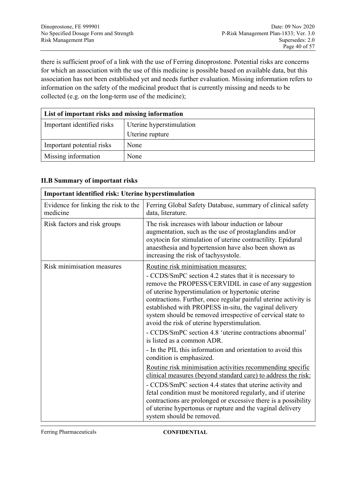there is sufficient proof of a link with the use of Ferring dinoprostone. Potential risks are concerns for which an association with the use of this medicine is possible based on available data, but this association has not been established yet and needs further evaluation. Missing information refers to information on the safety of the medicinal product that is currently missing and needs to be collected (e.g. on the long-term use of the medicine);

| List of important risks and missing information |                          |  |  |
|-------------------------------------------------|--------------------------|--|--|
| Important identified risks                      | Uterine hyperstimulation |  |  |
| Uterine rupture                                 |                          |  |  |
| Important potential risks                       | None                     |  |  |
| Missing information                             | None                     |  |  |

#### **II.B Summary of important risks**

|                                                  | Important identified risk: Uterine hyperstimulation                                                                                                                                                                                                                                                                                                                                                                                                                       |  |  |  |  |
|--------------------------------------------------|---------------------------------------------------------------------------------------------------------------------------------------------------------------------------------------------------------------------------------------------------------------------------------------------------------------------------------------------------------------------------------------------------------------------------------------------------------------------------|--|--|--|--|
| Evidence for linking the risk to the<br>medicine | Ferring Global Safety Database, summary of clinical safety<br>data, literature.                                                                                                                                                                                                                                                                                                                                                                                           |  |  |  |  |
| Risk factors and risk groups                     | The risk increases with labour induction or labour<br>augmentation, such as the use of prostaglandins and/or<br>oxytocin for stimulation of uterine contractility. Epidural<br>anaesthesia and hypertension have also been shown as<br>increasing the risk of tachysystole.                                                                                                                                                                                               |  |  |  |  |
| Risk minimisation measures                       | Routine risk minimisation measures:                                                                                                                                                                                                                                                                                                                                                                                                                                       |  |  |  |  |
|                                                  | - CCDS/SmPC section 4.2 states that it is necessary to<br>remove the PROPESS/CERVIDIL in case of any suggestion<br>of uterine hyperstimulation or hypertonic uterine<br>contractions. Further, once regular painful uterine activity is<br>established with PROPESS in-situ, the vaginal delivery<br>system should be removed irrespective of cervical state to<br>avoid the risk of uterine hyperstimulation.<br>- CCDS/SmPC section 4.8 'uterine contractions abnormal' |  |  |  |  |
|                                                  | is listed as a common ADR.                                                                                                                                                                                                                                                                                                                                                                                                                                                |  |  |  |  |
|                                                  | - In the PIL this information and orientation to avoid this<br>condition is emphasized.                                                                                                                                                                                                                                                                                                                                                                                   |  |  |  |  |
|                                                  | Routine risk minimisation activities recommending specific<br>clinical measures (beyond standard care) to address the risk:                                                                                                                                                                                                                                                                                                                                               |  |  |  |  |
|                                                  | - CCDS/SmPC section 4.4 states that uterine activity and<br>fetal condition must be monitored regularly, and if uterine<br>contractions are prolonged or excessive there is a possibility<br>of uterine hypertonus or rupture and the vaginal delivery<br>system should be removed.                                                                                                                                                                                       |  |  |  |  |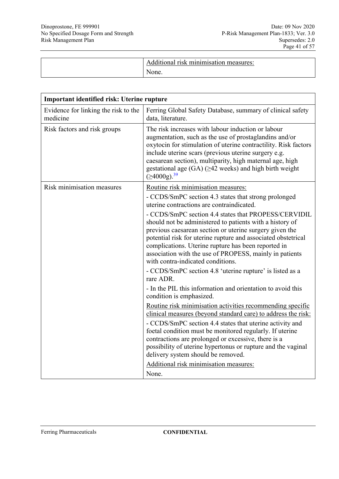| Additional<br>i risk minimisation measures:<br>None. |  |
|------------------------------------------------------|--|
|------------------------------------------------------|--|

| Important identified risk: Uterine rupture       |                                                                                                                                                                                                                                                                                                                                                                                                                                                                     |  |  |  |
|--------------------------------------------------|---------------------------------------------------------------------------------------------------------------------------------------------------------------------------------------------------------------------------------------------------------------------------------------------------------------------------------------------------------------------------------------------------------------------------------------------------------------------|--|--|--|
| Evidence for linking the risk to the<br>medicine | Ferring Global Safety Database, summary of clinical safety<br>data, literature.                                                                                                                                                                                                                                                                                                                                                                                     |  |  |  |
| Risk factors and risk groups                     | The risk increases with labour induction or labour<br>augmentation, such as the use of prostaglandins and/or<br>oxytocin for stimulation of uterine contractility. Risk factors<br>include uterine scars (previous uterine surgery e.g.<br>caesarean section), multiparity, high maternal age, high<br>gestational age $(GA)$ ( $\geq$ 42 weeks) and high birth weight<br>(≥4000g). <sup>39</sup>                                                                   |  |  |  |
| Risk minimisation measures                       | Routine risk minimisation measures:<br>- CCDS/SmPC section 4.3 states that strong prolonged<br>uterine contractions are contraindicated.                                                                                                                                                                                                                                                                                                                            |  |  |  |
|                                                  | - CCDS/SmPC section 4.4 states that PROPESS/CERVIDIL<br>should not be administered to patients with a history of<br>previous caesarean section or uterine surgery given the<br>potential risk for uterine rupture and associated obstetrical<br>complications. Uterine rupture has been reported in<br>association with the use of PROPESS, mainly in patients<br>with contra-indicated conditions.                                                                 |  |  |  |
|                                                  | - CCDS/SmPC section 4.8 'uterine rupture' is listed as a<br>rare ADR.                                                                                                                                                                                                                                                                                                                                                                                               |  |  |  |
|                                                  | - In the PIL this information and orientation to avoid this<br>condition is emphasized.                                                                                                                                                                                                                                                                                                                                                                             |  |  |  |
|                                                  | Routine risk minimisation activities recommending specific<br>clinical measures (beyond standard care) to address the risk:<br>- CCDS/SmPC section 4.4 states that uterine activity and<br>foetal condition must be monitored regularly. If uterine<br>contractions are prolonged or excessive, there is a<br>possibility of uterine hypertonus or rupture and the vaginal<br>delivery system should be removed.<br>Additional risk minimisation measures:<br>None. |  |  |  |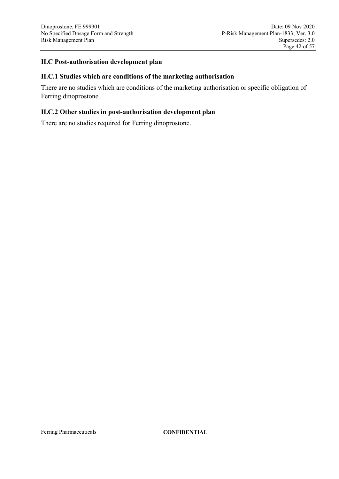#### **II.C Post-authorisation development plan**

#### **II.C.1 Studies which are conditions of the marketing authorisation**

There are no studies which are conditions of the marketing authorisation or specific obligation of Ferring dinoprostone.

#### **II.C.2 Other studies in post-authorisation development plan**

There are no studies required for Ferring dinoprostone.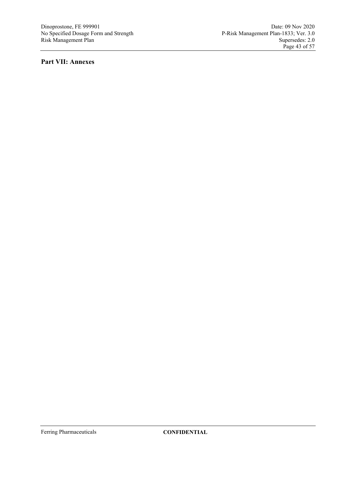### **Part VII: Annexes**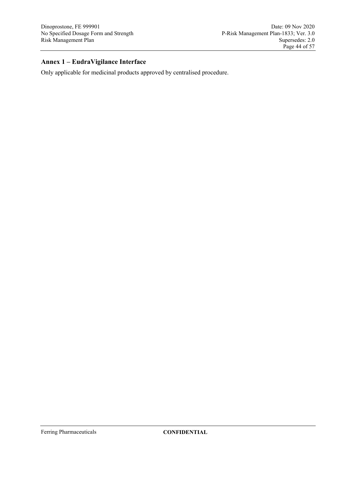# **Annex 1 – EudraVigilance Interface**

Only applicable for medicinal products approved by centralised procedure.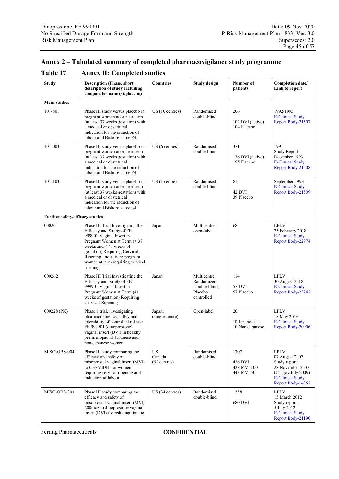# **Annex 2 – Tabulated summary of completed pharmacovigilance study programme**

| <b>Table 17</b> |  | <b>Annex II: Completed studies</b> |  |
|-----------------|--|------------------------------------|--|
|-----------------|--|------------------------------------|--|

| <b>Study</b>                    | <b>Description (Phase, short</b><br>description of study including<br>comparator name(s)/placebo)                                                                                                                                                                                | <b>Countries</b>                      | <b>Study design</b>                                                   | Number of<br>patients                        | Completion date/<br>Link to report                                                                                                 |
|---------------------------------|----------------------------------------------------------------------------------------------------------------------------------------------------------------------------------------------------------------------------------------------------------------------------------|---------------------------------------|-----------------------------------------------------------------------|----------------------------------------------|------------------------------------------------------------------------------------------------------------------------------------|
| <b>Main studies</b>             |                                                                                                                                                                                                                                                                                  |                                       |                                                                       |                                              |                                                                                                                                    |
| 101-801                         | Phase III study versus placebo in<br>pregnant women at or near term<br>(at least 37 weeks gestation) with<br>a medical or obstetrical<br>indication for the induction of<br>labour and Bishops score $\leq 4$                                                                    | $US(10 \text{ centres})$              | Randomised<br>double-blind                                            | 206<br>102 DVI (active)<br>104 Placebo       | 1992/1993<br><b>E-Clinical Study</b><br>Report Body-21507                                                                          |
| 101-003                         | Phase III study versus placebo in<br>pregnant women at or near term<br>(at least 37 weeks gestation) with<br>a medical or obstetrical<br>indication for the induction of<br>labour and Bishops score $\leq 4$                                                                    | US (6 centres)                        | Randomised<br>double-blind                                            | 371<br>176 DVI (active)<br>195 Placebo       | 1991<br>Study Report:<br>December 1993<br><b>E-Clinical Study</b><br>Report Body-21508                                             |
| 101-103                         | Phase III study versus placebo in<br>pregnant women at or near term<br>(at least 37 weeks gestation) with<br>a medical or obstetrical<br>indication for the induction of<br>labour and Bishops score $\leq 4$                                                                    | $US(1$ centre)                        | Randomised<br>double-blind                                            | 81<br>42 DVI<br>39 Placebo                   | September 1993<br><b>E-Clinical Study</b><br>Report Body-21509                                                                     |
| Further safety/efficacy studies |                                                                                                                                                                                                                                                                                  |                                       |                                                                       |                                              |                                                                                                                                    |
| 000261                          | Phase III Trial Investigating the<br>Efficacy and Safety of FE<br>999901 Vaginal Insert in<br>Pregnant Women at Term ( $\geq$ 37<br>weeks and $<$ 41 weeks of<br>gestation) Requiring Cervical<br>Ripening. Indication: pregnant<br>women at term requiring cervical<br>ripening | Japan                                 | Multicentre,<br>open-label                                            | 68                                           | LPLV:<br>25 February 2018<br><b>E-Clinical Study</b><br>Report Body-22974                                                          |
| 000262                          | Phase III Trial Investigating the<br>Efficacy and Safety of FE<br>999901 Vaginal Insert in<br>Pregnant Women at Term (41<br>weeks of gestation) Requiring<br>Cervical Ripening                                                                                                   | Japan                                 | Multicentre,<br>Randomized,<br>Double-blind,<br>Placebo<br>controlled | 114<br>57 DVI<br>57 Placebo                  | LPLV:<br>30 August 2018<br><b>E-Clinical Study</b><br>Report Body-23242                                                            |
| 000228 (PK)                     | Phase 1 trial, investigating<br>pharmacokinetics, safety and<br>tolerability of controlled release<br>FE 999901 (dinoprostone)<br>vaginal insert (DVI) in healthy<br>pre-menopausal Japanese and<br>non-Japanese women                                                           | Japan,<br>(single centre)             | Open-label                                                            | 20<br>10 Japanese<br>10 Non-Japanese         | LPLV:<br>18 May 2016<br><b>E-Clinical Study</b><br>Report Body-20906                                                               |
| MISO-OBS-004                    | Phase III study comparing the<br>efficacy and safety of<br>misoprostol vaginal insert (MVI)<br>to CERVIDIL for women<br>requiring cervical ripening and<br>induction of labour                                                                                                   | <b>US</b><br>Canada<br>$(52$ centres) | Randomised<br>double-blind                                            | 1307<br>436 DVI<br>428 MVI 100<br>443 MVI 50 | LPLV:<br>07 August 2007<br>Study report:<br>28 November 2007<br>(CT.gov July 2009)<br><b>E-Clinical Study</b><br>Report Body-14352 |
| MISO-OBS-303                    | Phase III study comparing the<br>efficacy and safety of<br>misoprostol vaginal insert (MVI)<br>200mcg to dinoprostone vaginal<br>insert (DVI) for reducing time to                                                                                                               | US (34 centres)                       | Randomised<br>double-blind                                            | 1358<br>680 DVI                              | LPLV:<br>15 March 2012<br>Study report:<br>5 July 2012<br><b>E-Clinical Study</b><br>Report Body-21190                             |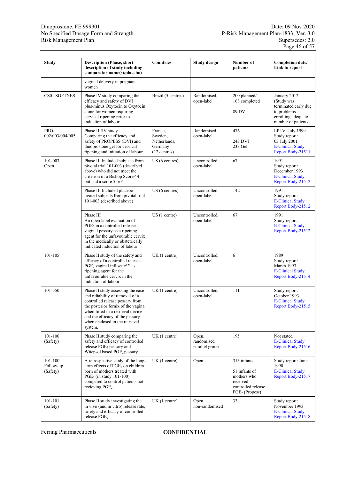| <b>Study</b>                     | <b>Description (Phase, short</b><br>description of study including<br>comparator name(s)/placebo)                                                                                                                                                                  | <b>Countries</b>                                                | <b>Study design</b>                   | Number of<br>patients                                                                             | Completion date/<br>Link to report                                                                            |
|----------------------------------|--------------------------------------------------------------------------------------------------------------------------------------------------------------------------------------------------------------------------------------------------------------------|-----------------------------------------------------------------|---------------------------------------|---------------------------------------------------------------------------------------------------|---------------------------------------------------------------------------------------------------------------|
|                                  | vaginal delivery in pregnant<br>women                                                                                                                                                                                                                              |                                                                 |                                       |                                                                                                   |                                                                                                               |
| CS01 SOFTNES                     | Phase IV study comparing the<br>efficacy and safety of DVI<br>plus/minus Oxytocin to Oxytocin<br>alone for women requiring<br>cervical ripening prior to<br>induction of labour                                                                                    | Brazil (5 centres)                                              | Randomised,<br>open-label             | 200 planned/<br>168 completed<br>89 DVI                                                           | January 2012<br>(Study was<br>terminated early due<br>to problems<br>enrolling adequate<br>number of patients |
| PRO-<br>002/003/004/005          | Phase III/IV study<br>Comparing the efficacy and<br>safety of PROPESS (DVI) and<br>dinoprostone gel for cervical<br>ripening and initiation of labour                                                                                                              | France.<br>Sweden,<br>Netherlands,<br>Germany<br>$(12$ centres) | Randomised,<br>open-label             | 476<br>243 DVI<br>233 Gel                                                                         | LPLV: July 1999<br>Study report:<br>03 July 2001<br><b>E-Clinical Study</b><br>Report Body-21511              |
| 101-003<br>Open                  | Phase III Included subjects from<br>pivotal trial 101-003 (described<br>above) who did not meet the<br>criterion of a Bishop Score≤ 4,<br>but had a score 5 or 6                                                                                                   | US (6 centres)                                                  | Uncontrolled<br>open-label            | 67                                                                                                | 1991<br>Study report:<br>December 1993<br><b>E-Clinical Study</b><br>Report Body-21512                        |
|                                  | Phase III Included placebo-<br>treated subjects from pivotal trial<br>101-003 (described above)                                                                                                                                                                    | US (6 centres)                                                  | Uncontrolled<br>open-label            | 142                                                                                               | 1991<br>Study report:<br><b>E-Clinical Study</b><br>Report Body-21512                                         |
|                                  | Phase III<br>An open label evaluation of<br>$PGE2$ in a controlled release<br>vaginal pessary as a ripening<br>agent for the unfavourable cervix<br>in the medically or obstetrically<br>indicated induction of labour                                             | $US(1$ centre)                                                  | Uncontrolled,<br>open-label           | 67                                                                                                | 1991<br>Study report:<br><b>E-Clinical Study</b><br>Report Body-21512                                         |
| 101-105                          | Phase II study of the safety and<br>efficacy of a controlled release<br>PGE <sub>2</sub> vaginal infusette <sup>YM</sup> as a<br>ripening agent for the<br>unfavourable cervix in the<br>induction of labour                                                       | UK(1 centre)                                                    | Uncontrolled,<br>open-label           | 6                                                                                                 | 1989<br>Study report:<br>March 1993<br><b>E-Clinical Study</b><br>Report Body-21514                           |
| 101-550                          | Phase II study assessing the ease<br>and reliability of removal of a<br>controlled release pessary from<br>the posterior fornix of the vagina<br>when fitted in a retrieval device<br>and the efficacy of the pessary<br>when enclosed in the retrieval<br>system. | UK(1 centre)                                                    | Uncontrolled,<br>open-label           | 111                                                                                               | Study report:<br>October 1993<br><b>E-Clinical Study</b><br>Report Body-21515                                 |
| $101 - 100$<br>(Safety)          | Phase II study comparing the<br>safety and efficacy of controlled<br>release PGE <sub>2</sub> pessary and<br>Witepsol based PGE <sub>2</sub> pessary                                                                                                               | UK(1 centre)                                                    | Open,<br>randomised<br>parallel group | 195                                                                                               | Not stated<br><b>E-Clinical Study</b><br>Report Body-21516                                                    |
| 101-100<br>Follow-up<br>(Safety) | A retrospective study of the long-<br>term effects of PGE <sub>2</sub> on children<br>born of mothers treated with<br>$PGE2$ (in study 101-100)<br>compared to control patients not<br>recieving $PGE2$                                                            | UK(1 centre)                                                    | Open                                  | 313 infants<br>51 infants of<br>mothers who<br>received<br>controlled release<br>$PGE2$ (Propess) | Study report: June<br>1990<br><b>E-Clinical Study</b><br>Report Body-21517                                    |
| 101-101<br>(Safety)              | Phase II study investigating the<br>in vivo (and in vitro) release rate,<br>safety and efficacy of controlled<br>release PGE <sub>2</sub>                                                                                                                          | UK(1 centre)                                                    | Open,<br>non-randomised               | 33                                                                                                | Study report:<br>November 1993<br><b>E-Clinical Study</b><br>Report Body-21518                                |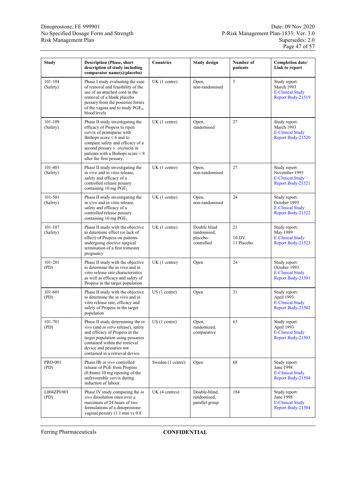| <b>Study</b>           | <b>Description (Phase, short</b><br>description of study including<br>comparator name(s)/placebo)                                                                                                                                                                    | <b>Countries</b>  | <b>Study design</b>                                   | Number of<br>patients     | Completion date/<br>Link to report                                             |
|------------------------|----------------------------------------------------------------------------------------------------------------------------------------------------------------------------------------------------------------------------------------------------------------------|-------------------|-------------------------------------------------------|---------------------------|--------------------------------------------------------------------------------|
| 101-104<br>(Safety)    | Phase I study evaluating the ease<br>of removal and feasibility of the<br>use of an attached cord in the<br>removal of a blank placebo<br>pessary from the posterior fornix<br>of the vagina and to study PGE <sub>m</sub><br>blood levels                           | UK(1 centre)      | Open,<br>non-randomised                               | 5                         | Study report:<br>March 1993<br><b>E-Clinical Study</b><br>Report Body-21519    |
| 101-109<br>(Safety)    | Phase II study investigating the<br>efficacy of Propess to ripen<br>cervix of primiparae with<br>Bishops score $\leq 6$ and to<br>compare safety and efficacy of a<br>second pessary v. oxytocin in<br>patients with a Bishops score < 8<br>after the first pessary. | UK(1 centre)      | Open,<br>randomised                                   | 27                        | Study report:<br>March 1993<br><b>E-Clinical Study</b><br>Report Body-21520    |
| 101-401<br>(Safety)    | Phase II study investigating the<br>in vivo and in vitro release,<br>safety and efficacy of a<br>controlled release pessary<br>containing $10 \text{ mg } PGE_2$                                                                                                     | UK(1 centre)      | Open,<br>non-randomised                               | 27                        | Study report:<br>November 1993<br><b>E-Clinical Study</b><br>Report Body-21521 |
| 101-501<br>(Safety)    | Phase II study investigating the<br>in vivo and in vitro release,<br>safety and efficacy of a<br>controlled release pessary<br>containing $10 \text{ mg } PGE_2$                                                                                                     | UK (1 centre)     | Open,<br>non-randomised                               | 24                        | Study report:<br>October 1993<br><b>E-Clinical Study</b><br>Report Body-21522  |
| 101-107<br>(Safety)    | Phase II study with the objective<br>to determine effect (or lack of<br>effect) of Propess on patients<br>undergoing elective surgical<br>termination of a first trimester<br>pregnancy                                                                              | UK(1 centre)      | Double blind<br>randomised,<br>placebo-<br>controlled | 21<br>10 DV<br>11 Placebo | Study report:<br>May 1989<br><b>E-Clinical Study</b><br>Report Body-21523      |
| 101-201<br>(PD)        | Phase II study with the objective<br>to determine the in vivo and in<br>vitro release rate characteristics<br>as well as efficacy and safety of<br>Propess in the target population                                                                                  | UK(1 centre)      | Open                                                  | 24                        | Study report:<br>October 1993<br><b>E-Clinical Study</b><br>Report Body-21501  |
| 101-601<br>(PD)        | Phase II study with the objective<br>to determine the in vivo and in<br>vitro release rate, efficacy and<br>safety of Propess in the target<br>population                                                                                                            | $US(1$ centre)    | Open                                                  | 31                        | Study report:<br>April 1993<br><b>E-Clinical Study</b><br>Report Body-21502    |
| 101-701<br>(PD)        | Phase II study determining the in<br>vivo (and in vitro release), safety<br>and efficacy of Propess in the<br>target population using pessaries<br>contained within the retrieval<br>device and pessaries not<br>contained in a retrieval device.                    | US(1 centre)      | Open,<br>randomized,<br>comparative                   | 63                        | Study report:<br>April 1993<br><b>E-Clinical Study</b><br>Report Body-21503    |
| <b>PRO-001</b><br>(PD) | Phase IIb in vivo controlled<br>release of PGE from Propess<br>$(0.8$ mm) 10 mg ripening of the<br>unfavourable cervix during<br>induction of labour.                                                                                                                | Sweden (1 centre) | Open                                                  | 68                        | Study report:<br>June 1998<br><b>E-Clinical Study</b><br>Report Body-21504     |
| L004ZPI/001<br>(PD)    | Phase IV study comparing the in<br>vivo dissolution rates over a<br>maximum of 24 hours of two<br>formulations of a dinoprostone<br>vaginal pessary (1.1 mm vs 0.8)                                                                                                  | UK (4 centres)    | Double-blind,<br>randomised,<br>parallel group        | 184                       | Study report:<br>June 1998<br><b>E-Clinical Study</b><br>Report Body-21504     |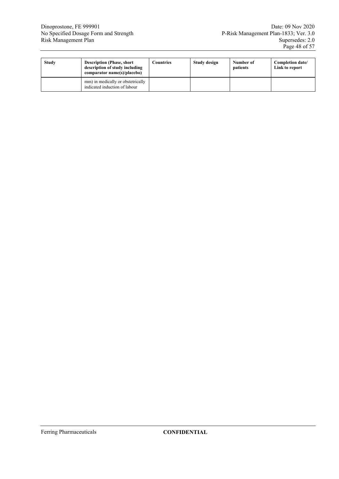| <b>Study</b> | <b>Description (Phase, short</b> )<br>description of study including<br>comparator name(s)/placebo) | Countries | Study design | Number of<br>patients | Completion date/<br>Link to report |
|--------------|-----------------------------------------------------------------------------------------------------|-----------|--------------|-----------------------|------------------------------------|
|              | mm) in medically or obstetrically<br>indicated induction of labour                                  |           |              |                       |                                    |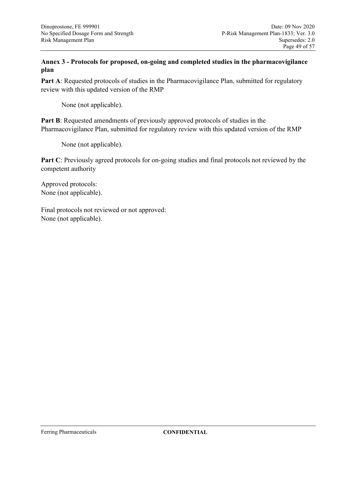### **Annex 3 - Protocols for proposed, on-going and completed studies in the pharmacovigilance plan**

Part A: Requested protocols of studies in the Pharmacovigilance Plan, submitted for regulatory review with this updated version of the RMP

None (not applicable).

Part B: Requested amendments of previously approved protocols of studies in the Pharmacovigilance Plan, submitted for regulatory review with this updated version of the RMP

None (not applicable).

**Part C**: Previously agreed protocols for on-going studies and final protocols not reviewed by the competent authority

Approved protocols: None (not applicable).

Final protocols not reviewed or not approved: None (not applicable).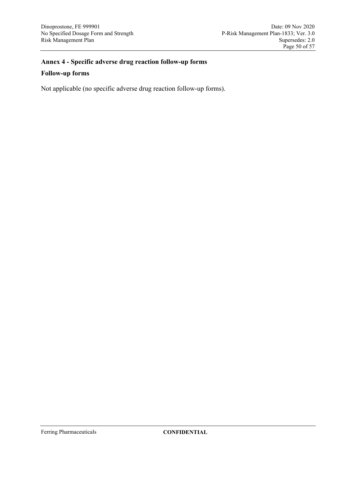# **Annex 4 - Specific adverse drug reaction follow-up forms**

#### **Follow-up forms**

Not applicable (no specific adverse drug reaction follow-up forms).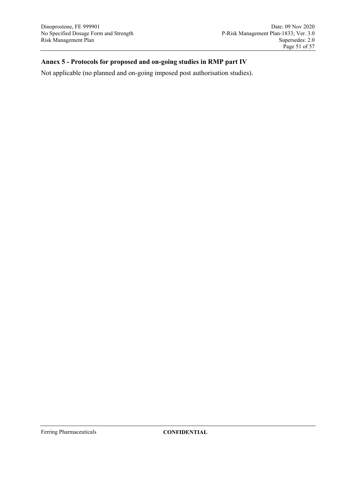### **Annex 5 - Protocols for proposed and on-going studies in RMP part IV**

Not applicable (no planned and on-going imposed post authorisation studies).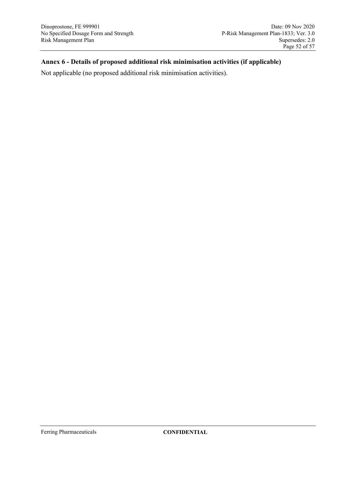### **Annex 6 - Details of proposed additional risk minimisation activities (if applicable)**

Not applicable (no proposed additional risk minimisation activities).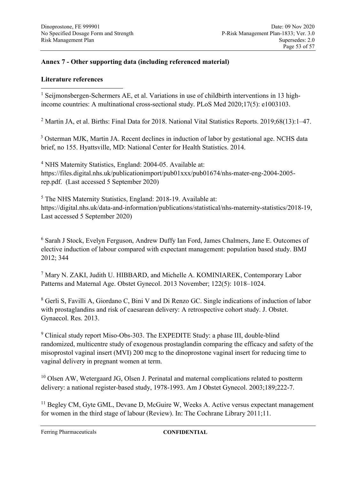# **Annex 7 - Other supporting data (including referenced material)**

### **Literature references**

<span id="page-52-0"></span><sup>1</sup> Seijmonsbergen-Schermers AE, et al. Variations in use of childbirth interventions in 13 highincome countries: A multinational cross-sectional study. PLoS Med 2020;17(5): e1003103. <u>.</u>

<span id="page-52-1"></span><sup>2</sup> Martin JA, et al. Births: Final Data for 2018. National Vital Statistics Reports. 2019;68(13):1-47.

<span id="page-52-2"></span><sup>3</sup> Osterman MJK, Martin JA. Recent declines in induction of labor by gestational age. NCHS data brief, no 155. Hyattsville, MD: National Center for Health Statistics. 2014.

<span id="page-52-3"></span><sup>4</sup> NHS Maternity Statistics, England: 2004-05. Available at: https://files.digital.nhs.uk/publicationimport/pub01xxx/pub01674/nhs-mater-eng-2004-2005 rep.pdf. (Last accessed 5 September 2020)

<span id="page-52-4"></span><sup>5</sup> The NHS Maternity Statistics, England: 2018-19. Available at: https://digital.nhs.uk/data-and-information/publications/statistical/nhs-maternity-statistics/2018-19, Last accessed 5 September 2020)

<span id="page-52-5"></span><sup>6</sup> Sarah J Stock, Evelyn Ferguson, Andrew Duffy Ian Ford, James Chalmers, Jane E. Outcomes of elective induction of labour compared with expectant management: population based study. BMJ 2012; 344

<span id="page-52-6"></span><sup>7</sup> Mary N. ZAKI, Judith U. HIBBARD, and Michelle A. KOMINIAREK, Contemporary Labor Patterns and Maternal Age. Obstet Gynecol. 2013 November; 122(5): 1018–1024.

<span id="page-52-7"></span><sup>8</sup> Gerli S, Favilli A, Giordano C, Bini V and Di Renzo GC. Single indications of induction of labor with prostaglandins and risk of caesarean delivery: A retrospective cohort study. J. Obstet. Gynaecol. Res. 2013.

<span id="page-52-8"></span><sup>9</sup> Clinical study report Miso-Obs-303. The EXPEDITE Study: a phase III, double-blind randomized, multicentre study of exogenous prostaglandin comparing the efficacy and safety of the misoprostol vaginal insert (MVI) 200 mcg to the dinoprostone vaginal insert for reducing time to vaginal delivery in pregnant women at term.

<span id="page-52-9"></span><sup>10</sup> Olsen AW, Wetergaard JG, Olsen J. Perinatal and maternal complications related to postterm delivery: a national register-based study, 1978-1993. Am J Obstet Gynecol. 2003;189;222-7.

<span id="page-52-10"></span><sup>11</sup> Begley CM, Gyte GML, Devane D, McGuire W, Weeks A. Active versus expectant management for women in the third stage of labour (Review). In: The Cochrane Library 2011;11.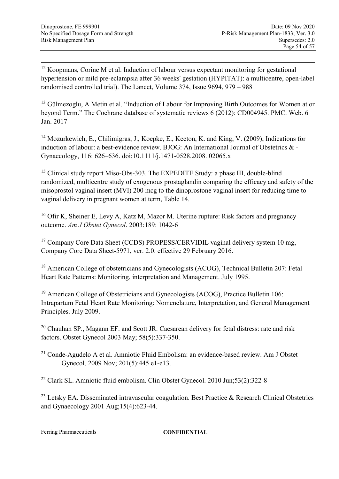<span id="page-53-0"></span><sup>12</sup> Koopmans, Corine M et al. Induction of labour versus expectant monitoring for gestational hypertension or mild pre-eclampsia after 36 weeks' gestation (HYPITAT): a multicentre, open-label randomised controlled trial). The Lancet, Volume 374, Issue 9694, 979 – 988

<span id="page-53-1"></span><sup>13</sup> Gülmezoglu, A Metin et al. "Induction of Labour for Improving Birth Outcomes for Women at or beyond Term." The Cochrane database of systematic reviews 6 (2012): CD004945. PMC. Web. 6 Jan. 2017

<span id="page-53-2"></span><sup>14</sup> Mozurkewich, E., Chilimigras, J., Koepke, E., Keeton, K. and King, V. (2009), Indications for induction of labour: a best-evidence review. BJOG: An International Journal of Obstetrics & - Gynaecology, 116: 626–636. doi:10.1111/j.1471-0528.2008. 02065.x

<span id="page-53-3"></span><sup>15</sup> Clinical study report Miso-Obs-303. The EXPEDITE Study: a phase III, double-blind randomized, multicentre study of exogenous prostaglandin comparing the efficacy and safety of the misoprostol vaginal insert (MVI) 200 mcg to the dinoprostone vaginal insert for reducing time to vaginal delivery in pregnant women at term, Table 14.

<span id="page-53-4"></span><sup>16</sup> Ofir K, Sheiner E, Levy A, Katz M, Mazor M. Uterine rupture: Risk factors and pregnancy outcome. *Am J Obstet Gynecol*. 2003;189: 1042-6

<span id="page-53-5"></span><sup>17</sup> Company Core Data Sheet (CCDS) PROPESS/CERVIDIL vaginal delivery system 10 mg, Company Core Data Sheet-5971, ver. 2.0. effective 29 February 2016.

<span id="page-53-6"></span><sup>18</sup> American College of obstetricians and Gynecologists (ACOG), Technical Bulletin 207: Fetal Heart Rate Patterns: Monitoring, interpretation and Management. July 1995.

<span id="page-53-7"></span><sup>19</sup> American College of Obstetricians and Gynecologists (ACOG), Practice Bulletin 106: Intrapartum Fetal Heart Rate Monitoring: Nomenclature, Interpretation, and General Management Principles. July 2009.

<span id="page-53-8"></span> $20$  Chauhan SP., Magann EF. and Scott JR. Caesarean delivery for fetal distress: rate and risk factors. Obstet Gynecol 2003 May; 58(5):337-350.

<span id="page-53-9"></span><sup>21</sup> Conde-Agudelo A et al. Amniotic Fluid Embolism: an evidence-based review. Am J Obstet Gynecol, 2009 Nov; 201(5):445 e1-e13.

<span id="page-53-10"></span><sup>22</sup> Clark SL. Amniotic fluid embolism. Clin Obstet Gynecol. 2010 Jun;53(2):322-8

<span id="page-53-11"></span><sup>23</sup> Letsky EA. Disseminated intravascular coagulation. Best Practice & Research Clinical Obstetrics and Gynaecology 2001 Aug;15(4):623-44.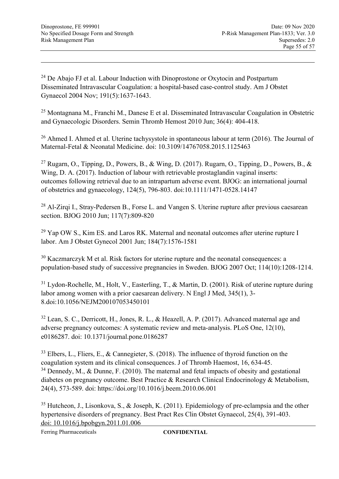<span id="page-54-0"></span><sup>24</sup> De Abajo FJ et al. Labour Induction with Dinoprostone or Oxytocin and Postpartum Disseminated Intravascular Coagulation: a hospital-based case-control study. Am J Obstet Gynaecol 2004 Nov; 191(5):1637-1643.

<span id="page-54-1"></span><sup>25</sup> Montagnana M., Franchi M., Danese E et al. Disseminated Intravascular Coagulation in Obstetric and Gynaecologic Disorders. Semin Thromb Hemost 2010 Jun; 36(4): 404-418.

<span id="page-54-2"></span><sup>26</sup> Ahmed I. Ahmed et al. Uterine tachysystole in spontaneous labour at term (2016). The Journal of Maternal-Fetal & Neonatal Medicine. doi: 10.3109/14767058.2015.1125463

<span id="page-54-3"></span><sup>27</sup> Rugarn, O., Tipping, D., Powers, B., & Wing, D. (2017). Rugarn, O., Tipping, D., Powers, B., & Wing, D. A. (2017). Induction of labour with retrievable prostaglandin vaginal inserts: outcomes following retrieval due to an intrapartum adverse event. BJOG: an international journal of obstetrics and gynaecology, 124(5), 796-803. doi:10.1111/1471-0528.14147

<span id="page-54-4"></span><sup>28</sup> Al-Zirgi I., Stray-Pedersen B., Forse L. and Vangen S. Uterine rupture after previous caesarean section. BJOG 2010 Jun; 117(7):809-820

<span id="page-54-5"></span><sup>29</sup> Yap OW S., Kim ES. and Laros RK. Maternal and neonatal outcomes after uterine rupture I labor. Am J Obstet Gynecol 2001 Jun; 184(7):1576-1581

<span id="page-54-6"></span><sup>30</sup> Kaczmarczyk M et al. Risk factors for uterine rupture and the neonatal consequences: a population-based study of successive pregnancies in Sweden. BJOG 2007 Oct; 114(10):1208-1214.

<span id="page-54-7"></span><sup>31</sup> Lydon-Rochelle, M., Holt, V., Easterling, T., & Martin, D. (2001). Risk of uterine rupture during labor among women with a prior caesarean delivery. N Engl J Med, 345(1), 3- 8.doi:10.1056/NEJM200107053450101

<span id="page-54-8"></span><sup>32</sup> Lean, S. C., Derricott, H., Jones, R. L., & Heazell, A. P. (2017). Advanced maternal age and adverse pregnancy outcomes: A systematic review and meta-analysis. PLoS One, 12(10), e0186287. doi: 10.1371/journal.pone.0186287

<span id="page-54-10"></span><span id="page-54-9"></span> $33$  Elbers, L., Fliers, E., & Cannegieter, S. (2018). The influence of thyroid function on the coagulation system and its clinical consequences. J of Thromb Haemost, 16, 634-45.  $34$  Dennedy, M., & Dunne, F. (2010). The maternal and fetal impacts of obesity and gestational diabetes on pregnancy outcome. Best Practice & Research Clinical Endocrinology & Metabolism, 24(4), 573-589. doi: https://doi.org/10.1016/j.beem.2010.06.001

<span id="page-54-11"></span><sup>35</sup> Hutcheon, J., Lisonkova, S., & Joseph, K. (2011). Epidemiology of pre-eclampsia and the other hypertensive disorders of pregnancy. Best Pract Res Clin Obstet Gynaecol, 25(4), 391-403. doi: 10.1016/j.bpobgyn.2011.01.006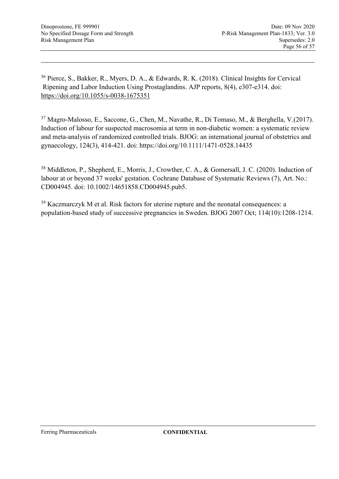<span id="page-55-0"></span><sup>36</sup> Pierce, S., Bakker, R., Myers, D. A., & Edwards, R. K. (2018). Clinical Insights for Cervical Ripening and Labor Induction Using Prostaglandins. AJP reports, 8(4), e307-e314. doi: https://doi.org/10.1055/s-0038-1675351

<span id="page-55-1"></span><sup>37</sup> Magro-Malosso, E., Saccone, G., Chen, M., Navathe, R., Di Tomaso, M., & Berghella, V.(2017). Induction of labour for suspected macrosomia at term in non-diabetic women: a systematic review and meta-analysis of randomized controlled trials. BJOG: an international journal of obstetrics and gynaecology, 124(3), 414-421. doi: https://doi.org/10.1111/1471-0528.14435

<span id="page-55-2"></span><sup>38</sup> Middleton, P., Shepherd, E., Morris, J., Crowther, C. A., & Gomersall, J. C. (2020). Induction of labour at or beyond 37 weeks' gestation. Cochrane Database of Systematic Reviews (7), Art. No.: CD004945. doi: 10.1002/14651858.CD004945.pub5.

<span id="page-55-3"></span><sup>39</sup> Kaczmarczyk M et al. Risk factors for uterine rupture and the neonatal consequences: a population-based study of successive pregnancies in Sweden. BJOG 2007 Oct; 114(10):1208-1214.